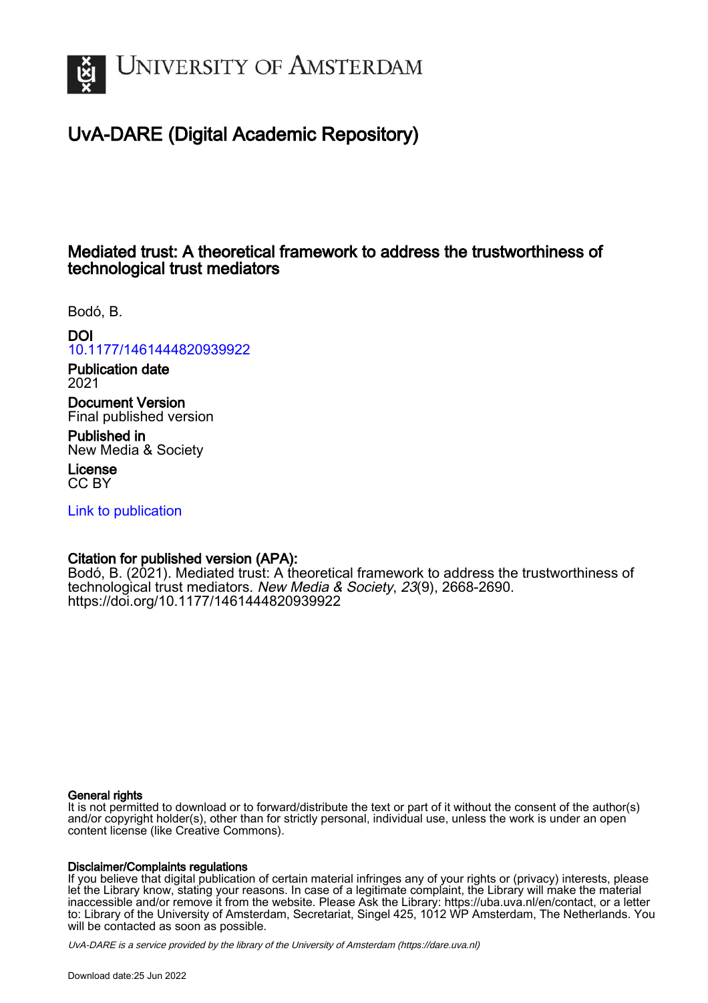

# UvA-DARE (Digital Academic Repository)

## Mediated trust: A theoretical framework to address the trustworthiness of technological trust mediators

Bodó, B.

DOI

[10.1177/1461444820939922](https://doi.org/10.1177/1461444820939922)

Publication date 2021

Document Version Final published version

Published in New Media & Society

License CC BY

[Link to publication](https://dare.uva.nl/personal/pure/en/publications/mediated-trust-a-theoretical-framework-to-address-the-trustworthiness-of-technological-trust-mediators(3f8881e7-ec35-4a10-8ba1-6621f7cf79b6).html)

## Citation for published version (APA):

Bodó, B. (2021). Mediated trust: A theoretical framework to address the trustworthiness of technological trust mediators. New Media & Society, 23(9), 2668-2690. <https://doi.org/10.1177/1461444820939922>

### General rights

It is not permitted to download or to forward/distribute the text or part of it without the consent of the author(s) and/or copyright holder(s), other than for strictly personal, individual use, unless the work is under an open content license (like Creative Commons).

## Disclaimer/Complaints regulations

If you believe that digital publication of certain material infringes any of your rights or (privacy) interests, please let the Library know, stating your reasons. In case of a legitimate complaint, the Library will make the material inaccessible and/or remove it from the website. Please Ask the Library: https://uba.uva.nl/en/contact, or a letter to: Library of the University of Amsterdam, Secretariat, Singel 425, 1012 WP Amsterdam, The Netherlands. You will be contacted as soon as possible.

UvA-DARE is a service provided by the library of the University of Amsterdam (http*s*://dare.uva.nl)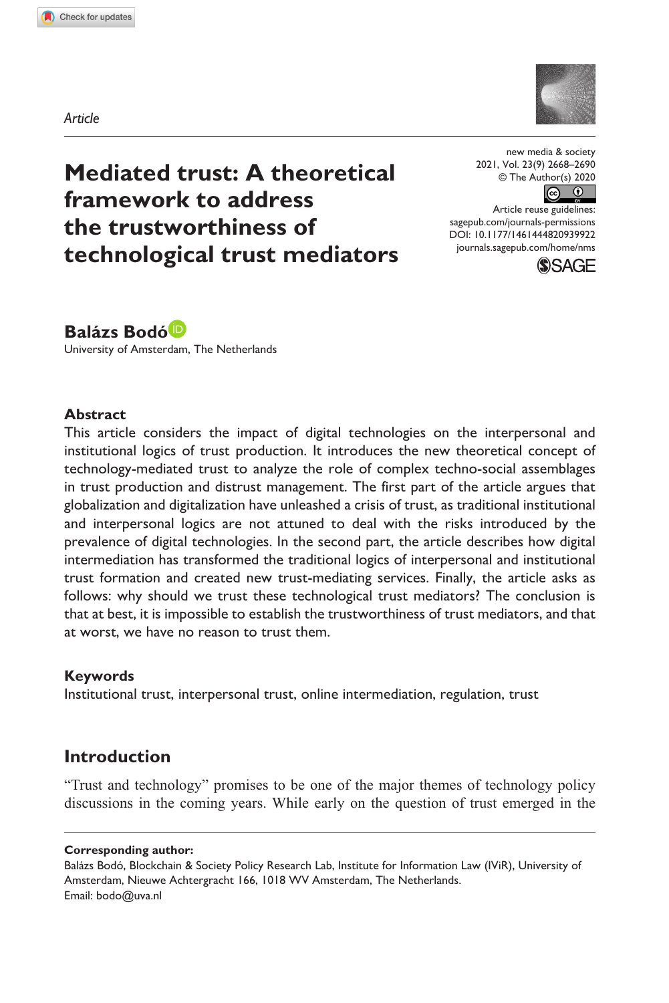**9399[22](http://crossmark.crossref.org/dialog/?doi=10.1177%2F1461444820939922&domain=pdf&date_stamp=2020-07-04)** NMS0010.1177/1461444820939922new media & society**Bodó**



**Mediated trust: A theoretical framework to address the trustworthiness of technological trust mediators**

new media & society 2021, Vol. 23(9) 2668–2690 © The Author(s) 2020

 $\bullet$   $\bullet$ 

DOI: 10.1177/1461444820939922 Article reuse guidelines: [sagepub.com/journals-permissions](https://uk.sagepub.com/en-gb/journals-permissions) [journals.sagepub.com/home/nms](https://journals.sagepub.com/home/nms)



## **Balázs Bodó**

University of Amsterdam, The Netherlands

#### **Abstract**

This article considers the impact of digital technologies on the interpersonal and institutional logics of trust production. It introduces the new theoretical concept of technology-mediated trust to analyze the role of complex techno-social assemblages in trust production and distrust management. The first part of the article argues that globalization and digitalization have unleashed a crisis of trust, as traditional institutional and interpersonal logics are not attuned to deal with the risks introduced by the prevalence of digital technologies. In the second part, the article describes how digital intermediation has transformed the traditional logics of interpersonal and institutional trust formation and created new trust-mediating services. Finally, the article asks as follows: why should we trust these technological trust mediators? The conclusion is that at best, it is impossible to establish the trustworthiness of trust mediators, and that at worst, we have no reason to trust them.

#### **Keywords**

Institutional trust, interpersonal trust, online intermediation, regulation, trust

### **Introduction**

"Trust and technology" promises to be one of the major themes of technology policy discussions in the coming years. While early on the question of trust emerged in the

#### **Corresponding author:**

Balázs Bodó, Blockchain & Society Policy Research Lab, Institute for Information Law (IViR), University of Amsterdam, Nieuwe Achtergracht 166, 1018 WV Amsterdam, The Netherlands. Email: [bodo@uva.nl](mailto:bodo@uva.nl)

*Article*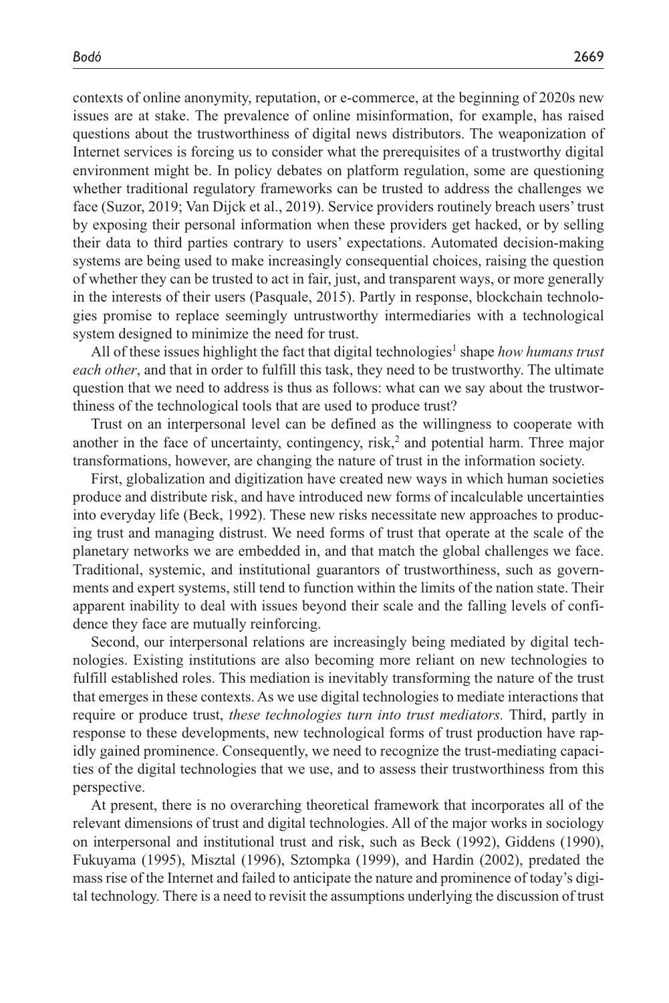contexts of online anonymity, reputation, or e-commerce, at the beginning of 2020s new issues are at stake. The prevalence of online misinformation, for example, has raised questions about the trustworthiness of digital news distributors. The weaponization of Internet services is forcing us to consider what the prerequisites of a trustworthy digital environment might be. In policy debates on platform regulation, some are questioning whether traditional regulatory frameworks can be trusted to address the challenges we face (Suzor, 2019; Van Dijck et al., 2019). Service providers routinely breach users' trust by exposing their personal information when these providers get hacked, or by selling their data to third parties contrary to users' expectations. Automated decision-making systems are being used to make increasingly consequential choices, raising the question of whether they can be trusted to act in fair, just, and transparent ways, or more generally in the interests of their users (Pasquale, 2015). Partly in response, blockchain technologies promise to replace seemingly untrustworthy intermediaries with a technological system designed to minimize the need for trust.

All of these issues highlight the fact that digital technologies<sup>1</sup> shape how humans trust *each other*, and that in order to fulfill this task, they need to be trustworthy. The ultimate question that we need to address is thus as follows: what can we say about the trustworthiness of the technological tools that are used to produce trust?

Trust on an interpersonal level can be defined as the willingness to cooperate with another in the face of uncertainty, contingency,  $risk$ , and potential harm. Three major transformations, however, are changing the nature of trust in the information society.

First, globalization and digitization have created new ways in which human societies produce and distribute risk, and have introduced new forms of incalculable uncertainties into everyday life (Beck, 1992). These new risks necessitate new approaches to producing trust and managing distrust. We need forms of trust that operate at the scale of the planetary networks we are embedded in, and that match the global challenges we face. Traditional, systemic, and institutional guarantors of trustworthiness, such as governments and expert systems, still tend to function within the limits of the nation state. Their apparent inability to deal with issues beyond their scale and the falling levels of confidence they face are mutually reinforcing.

Second, our interpersonal relations are increasingly being mediated by digital technologies. Existing institutions are also becoming more reliant on new technologies to fulfill established roles. This mediation is inevitably transforming the nature of the trust that emerges in these contexts. As we use digital technologies to mediate interactions that require or produce trust, *these technologies turn into trust mediators.* Third, partly in response to these developments, new technological forms of trust production have rapidly gained prominence. Consequently, we need to recognize the trust-mediating capacities of the digital technologies that we use, and to assess their trustworthiness from this perspective.

At present, there is no overarching theoretical framework that incorporates all of the relevant dimensions of trust and digital technologies. All of the major works in sociology on interpersonal and institutional trust and risk, such as Beck (1992), Giddens (1990), Fukuyama (1995), Misztal (1996), Sztompka (1999), and Hardin (2002), predated the mass rise of the Internet and failed to anticipate the nature and prominence of today's digital technology. There is a need to revisit the assumptions underlying the discussion of trust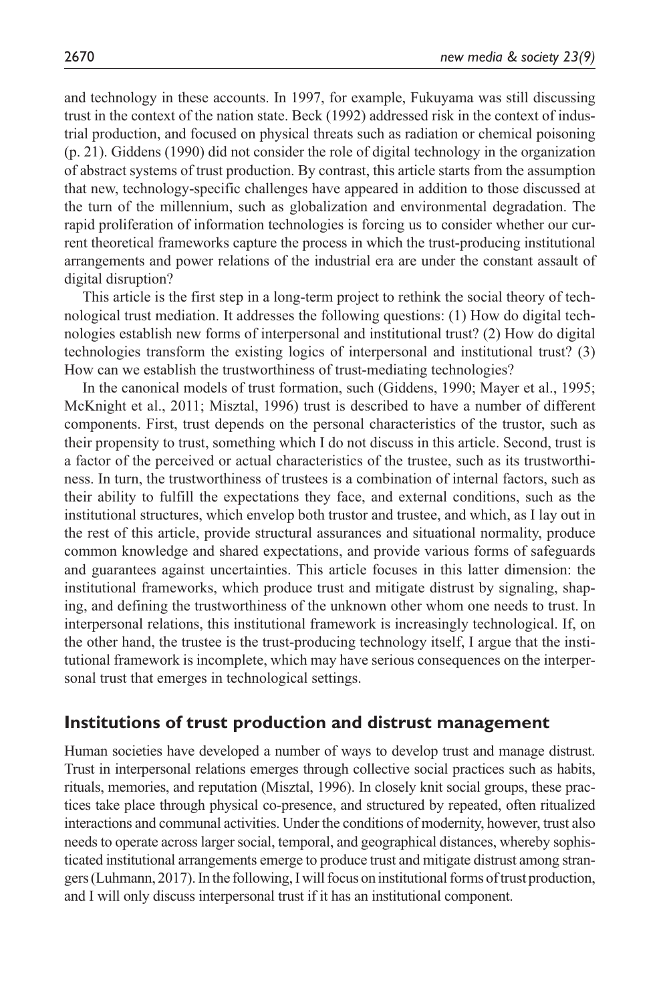and technology in these accounts. In 1997, for example, Fukuyama was still discussing trust in the context of the nation state. Beck (1992) addressed risk in the context of industrial production, and focused on physical threats such as radiation or chemical poisoning (p. 21). Giddens (1990) did not consider the role of digital technology in the organization of abstract systems of trust production. By contrast, this article starts from the assumption that new, technology-specific challenges have appeared in addition to those discussed at the turn of the millennium, such as globalization and environmental degradation. The rapid proliferation of information technologies is forcing us to consider whether our current theoretical frameworks capture the process in which the trust-producing institutional arrangements and power relations of the industrial era are under the constant assault of digital disruption?

This article is the first step in a long-term project to rethink the social theory of technological trust mediation. It addresses the following questions: (1) How do digital technologies establish new forms of interpersonal and institutional trust? (2) How do digital technologies transform the existing logics of interpersonal and institutional trust? (3) How can we establish the trustworthiness of trust-mediating technologies?

In the canonical models of trust formation, such (Giddens, 1990; Mayer et al., 1995; McKnight et al., 2011; Misztal, 1996) trust is described to have a number of different components. First, trust depends on the personal characteristics of the trustor, such as their propensity to trust, something which I do not discuss in this article. Second, trust is a factor of the perceived or actual characteristics of the trustee, such as its trustworthiness. In turn, the trustworthiness of trustees is a combination of internal factors, such as their ability to fulfill the expectations they face, and external conditions, such as the institutional structures, which envelop both trustor and trustee, and which, as I lay out in the rest of this article, provide structural assurances and situational normality, produce common knowledge and shared expectations, and provide various forms of safeguards and guarantees against uncertainties. This article focuses in this latter dimension: the institutional frameworks, which produce trust and mitigate distrust by signaling, shaping, and defining the trustworthiness of the unknown other whom one needs to trust. In interpersonal relations, this institutional framework is increasingly technological. If, on the other hand, the trustee is the trust-producing technology itself, I argue that the institutional framework is incomplete, which may have serious consequences on the interpersonal trust that emerges in technological settings.

### **Institutions of trust production and distrust management**

Human societies have developed a number of ways to develop trust and manage distrust. Trust in interpersonal relations emerges through collective social practices such as habits, rituals, memories, and reputation (Misztal, 1996). In closely knit social groups, these practices take place through physical co-presence, and structured by repeated, often ritualized interactions and communal activities. Under the conditions of modernity, however, trust also needs to operate across larger social, temporal, and geographical distances, whereby sophisticated institutional arrangements emerge to produce trust and mitigate distrust among strangers (Luhmann, 2017). In the following, I will focus on institutional forms of trust production, and I will only discuss interpersonal trust if it has an institutional component.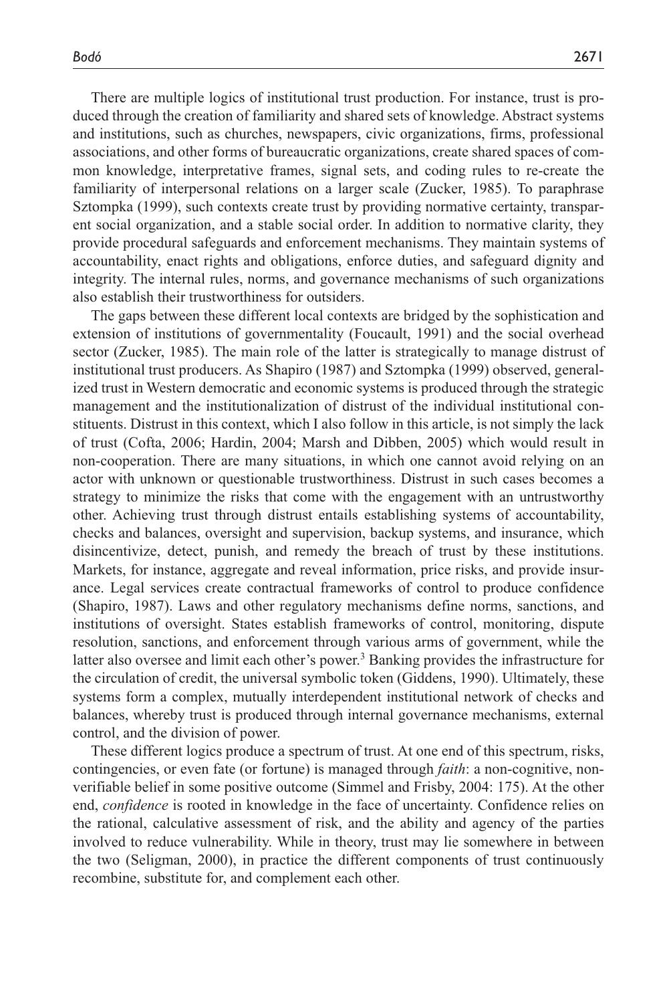There are multiple logics of institutional trust production. For instance, trust is produced through the creation of familiarity and shared sets of knowledge. Abstract systems and institutions, such as churches, newspapers, civic organizations, firms, professional associations, and other forms of bureaucratic organizations, create shared spaces of common knowledge, interpretative frames, signal sets, and coding rules to re-create the familiarity of interpersonal relations on a larger scale (Zucker, 1985). To paraphrase Sztompka (1999), such contexts create trust by providing normative certainty, transparent social organization, and a stable social order. In addition to normative clarity, they provide procedural safeguards and enforcement mechanisms. They maintain systems of accountability, enact rights and obligations, enforce duties, and safeguard dignity and integrity. The internal rules, norms, and governance mechanisms of such organizations also establish their trustworthiness for outsiders.

The gaps between these different local contexts are bridged by the sophistication and extension of institutions of governmentality (Foucault, 1991) and the social overhead sector (Zucker, 1985). The main role of the latter is strategically to manage distrust of institutional trust producers. As Shapiro (1987) and Sztompka (1999) observed, generalized trust in Western democratic and economic systems is produced through the strategic management and the institutionalization of distrust of the individual institutional constituents. Distrust in this context, which I also follow in this article, is not simply the lack of trust (Cofta, 2006; Hardin, 2004; Marsh and Dibben, 2005) which would result in non-cooperation. There are many situations, in which one cannot avoid relying on an actor with unknown or questionable trustworthiness. Distrust in such cases becomes a strategy to minimize the risks that come with the engagement with an untrustworthy other. Achieving trust through distrust entails establishing systems of accountability, checks and balances, oversight and supervision, backup systems, and insurance, which disincentivize, detect, punish, and remedy the breach of trust by these institutions. Markets, for instance, aggregate and reveal information, price risks, and provide insurance. Legal services create contractual frameworks of control to produce confidence (Shapiro, 1987). Laws and other regulatory mechanisms define norms, sanctions, and institutions of oversight. States establish frameworks of control, monitoring, dispute resolution, sanctions, and enforcement through various arms of government, while the latter also oversee and limit each other's power.<sup>3</sup> Banking provides the infrastructure for the circulation of credit, the universal symbolic token (Giddens, 1990). Ultimately, these systems form a complex, mutually interdependent institutional network of checks and balances, whereby trust is produced through internal governance mechanisms, external control, and the division of power.

These different logics produce a spectrum of trust. At one end of this spectrum, risks, contingencies, or even fate (or fortune) is managed through *faith*: a non-cognitive, nonverifiable belief in some positive outcome (Simmel and Frisby, 2004: 175). At the other end, *confidence* is rooted in knowledge in the face of uncertainty. Confidence relies on the rational, calculative assessment of risk, and the ability and agency of the parties involved to reduce vulnerability. While in theory, trust may lie somewhere in between the two (Seligman, 2000), in practice the different components of trust continuously recombine, substitute for, and complement each other.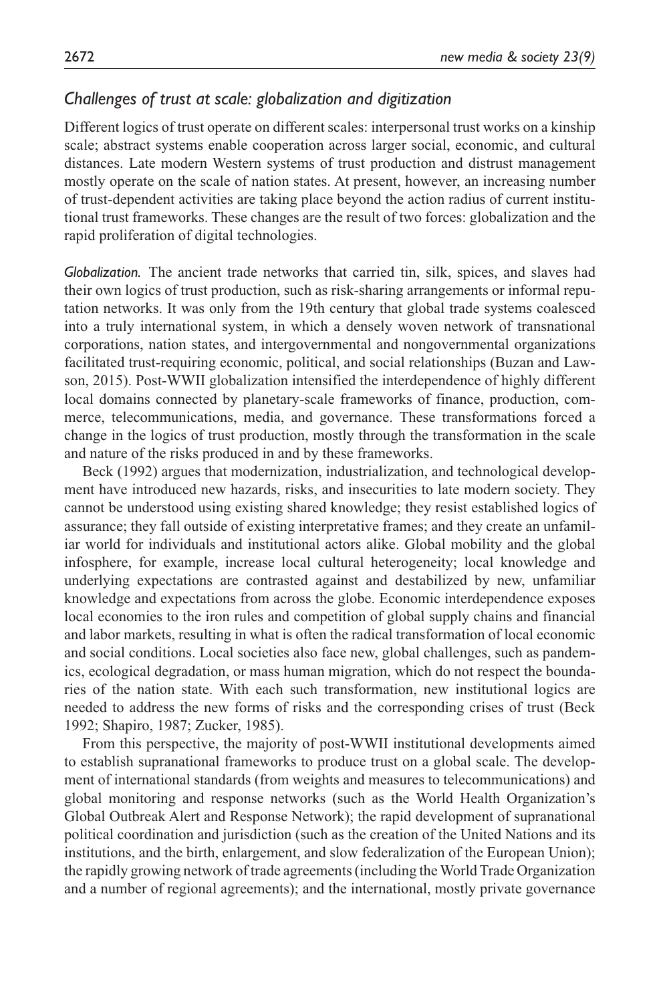## *Challenges of trust at scale: globalization and digitization*

Different logics of trust operate on different scales: interpersonal trust works on a kinship scale; abstract systems enable cooperation across larger social, economic, and cultural distances. Late modern Western systems of trust production and distrust management mostly operate on the scale of nation states. At present, however, an increasing number of trust-dependent activities are taking place beyond the action radius of current institutional trust frameworks. These changes are the result of two forces: globalization and the rapid proliferation of digital technologies.

*Globalization.* The ancient trade networks that carried tin, silk, spices, and slaves had their own logics of trust production, such as risk-sharing arrangements or informal reputation networks. It was only from the 19th century that global trade systems coalesced into a truly international system, in which a densely woven network of transnational corporations, nation states, and intergovernmental and nongovernmental organizations facilitated trust-requiring economic, political, and social relationships (Buzan and Lawson, 2015). Post-WWII globalization intensified the interdependence of highly different local domains connected by planetary-scale frameworks of finance, production, commerce, telecommunications, media, and governance. These transformations forced a change in the logics of trust production, mostly through the transformation in the scale and nature of the risks produced in and by these frameworks.

Beck (1992) argues that modernization, industrialization, and technological development have introduced new hazards, risks, and insecurities to late modern society. They cannot be understood using existing shared knowledge; they resist established logics of assurance; they fall outside of existing interpretative frames; and they create an unfamiliar world for individuals and institutional actors alike. Global mobility and the global infosphere, for example, increase local cultural heterogeneity; local knowledge and underlying expectations are contrasted against and destabilized by new, unfamiliar knowledge and expectations from across the globe. Economic interdependence exposes local economies to the iron rules and competition of global supply chains and financial and labor markets, resulting in what is often the radical transformation of local economic and social conditions. Local societies also face new, global challenges, such as pandemics, ecological degradation, or mass human migration, which do not respect the boundaries of the nation state. With each such transformation, new institutional logics are needed to address the new forms of risks and the corresponding crises of trust (Beck 1992; Shapiro, 1987; Zucker, 1985).

From this perspective, the majority of post-WWII institutional developments aimed to establish supranational frameworks to produce trust on a global scale. The development of international standards (from weights and measures to telecommunications) and global monitoring and response networks (such as the World Health Organization's Global Outbreak Alert and Response Network); the rapid development of supranational political coordination and jurisdiction (such as the creation of the United Nations and its institutions, and the birth, enlargement, and slow federalization of the European Union); the rapidly growing network of trade agreements (including the World Trade Organization and a number of regional agreements); and the international, mostly private governance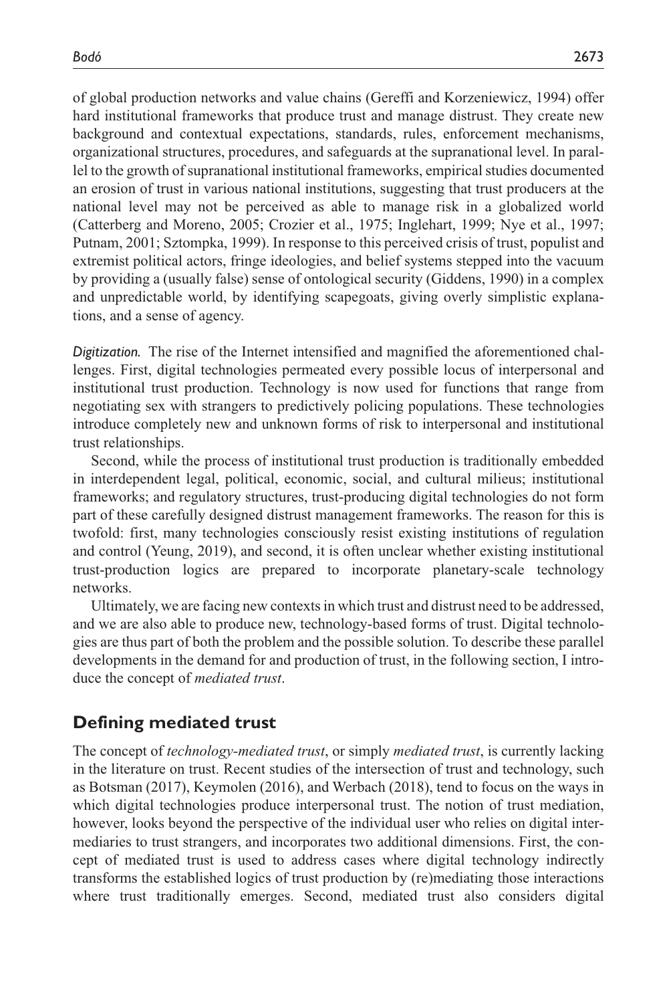of global production networks and value chains (Gereffi and Korzeniewicz, 1994) offer hard institutional frameworks that produce trust and manage distrust. They create new background and contextual expectations, standards, rules, enforcement mechanisms, organizational structures, procedures, and safeguards at the supranational level. In parallel to the growth of supranational institutional frameworks, empirical studies documented an erosion of trust in various national institutions, suggesting that trust producers at the national level may not be perceived as able to manage risk in a globalized world (Catterberg and Moreno, 2005; Crozier et al., 1975; Inglehart, 1999; Nye et al., 1997; Putnam, 2001; Sztompka, 1999). In response to this perceived crisis of trust, populist and extremist political actors, fringe ideologies, and belief systems stepped into the vacuum by providing a (usually false) sense of ontological security (Giddens, 1990) in a complex and unpredictable world, by identifying scapegoats, giving overly simplistic explanations, and a sense of agency.

*Digitization.* The rise of the Internet intensified and magnified the aforementioned challenges. First, digital technologies permeated every possible locus of interpersonal and institutional trust production. Technology is now used for functions that range from negotiating sex with strangers to predictively policing populations. These technologies introduce completely new and unknown forms of risk to interpersonal and institutional trust relationships.

Second, while the process of institutional trust production is traditionally embedded in interdependent legal, political, economic, social, and cultural milieus; institutional frameworks; and regulatory structures, trust-producing digital technologies do not form part of these carefully designed distrust management frameworks. The reason for this is twofold: first, many technologies consciously resist existing institutions of regulation and control (Yeung, 2019), and second, it is often unclear whether existing institutional trust-production logics are prepared to incorporate planetary-scale technology networks.

Ultimately, we are facing new contexts in which trust and distrust need to be addressed, and we are also able to produce new, technology-based forms of trust. Digital technologies are thus part of both the problem and the possible solution. To describe these parallel developments in the demand for and production of trust, in the following section, I introduce the concept of *mediated trust*.

### **Defining mediated trust**

The concept of *technology-mediated trust*, or simply *mediated trust*, is currently lacking in the literature on trust. Recent studies of the intersection of trust and technology, such as Botsman (2017), Keymolen (2016), and Werbach (2018), tend to focus on the ways in which digital technologies produce interpersonal trust. The notion of trust mediation, however, looks beyond the perspective of the individual user who relies on digital intermediaries to trust strangers, and incorporates two additional dimensions. First, the concept of mediated trust is used to address cases where digital technology indirectly transforms the established logics of trust production by (re)mediating those interactions where trust traditionally emerges. Second, mediated trust also considers digital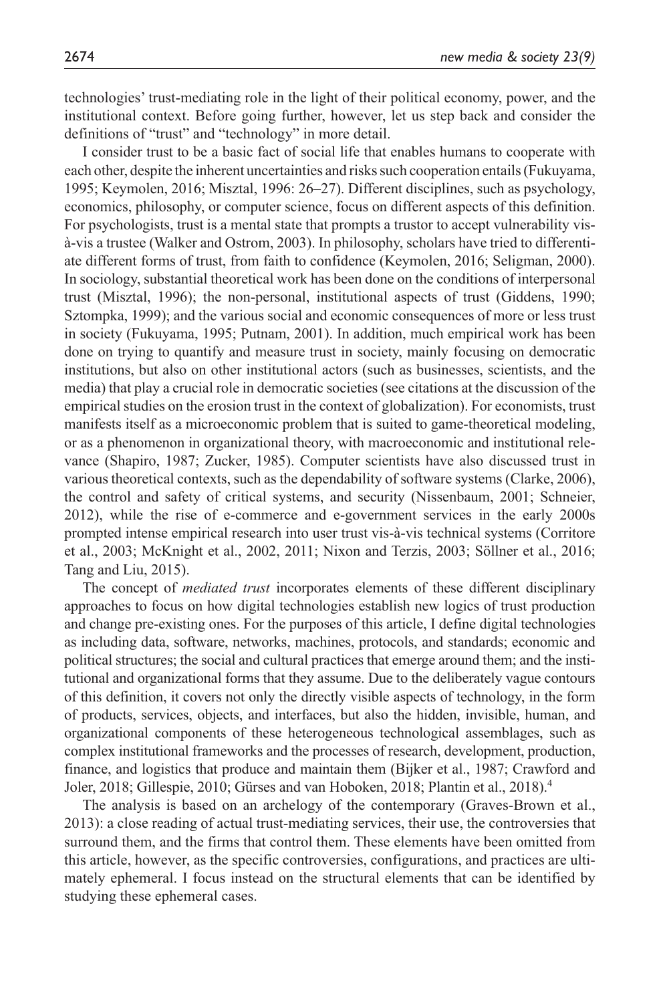technologies' trust-mediating role in the light of their political economy, power, and the institutional context. Before going further, however, let us step back and consider the definitions of "trust" and "technology" in more detail.

I consider trust to be a basic fact of social life that enables humans to cooperate with each other, despite the inherent uncertainties and risks such cooperation entails (Fukuyama, 1995; Keymolen, 2016; Misztal, 1996: 26–27). Different disciplines, such as psychology, economics, philosophy, or computer science, focus on different aspects of this definition. For psychologists, trust is a mental state that prompts a trustor to accept vulnerability visà-vis a trustee (Walker and Ostrom, 2003). In philosophy, scholars have tried to differentiate different forms of trust, from faith to confidence (Keymolen, 2016; Seligman, 2000). In sociology, substantial theoretical work has been done on the conditions of interpersonal trust (Misztal, 1996); the non-personal, institutional aspects of trust (Giddens, 1990; Sztompka, 1999); and the various social and economic consequences of more or less trust in society (Fukuyama, 1995; Putnam, 2001). In addition, much empirical work has been done on trying to quantify and measure trust in society, mainly focusing on democratic institutions, but also on other institutional actors (such as businesses, scientists, and the media) that play a crucial role in democratic societies (see citations at the discussion of the empirical studies on the erosion trust in the context of globalization). For economists, trust manifests itself as a microeconomic problem that is suited to game-theoretical modeling, or as a phenomenon in organizational theory, with macroeconomic and institutional relevance (Shapiro, 1987; Zucker, 1985). Computer scientists have also discussed trust in various theoretical contexts, such as the dependability of software systems (Clarke, 2006), the control and safety of critical systems, and security (Nissenbaum, 2001; Schneier, 2012), while the rise of e-commerce and e-government services in the early 2000s prompted intense empirical research into user trust vis-à-vis technical systems (Corritore et al., 2003; McKnight et al., 2002, 2011; Nixon and Terzis, 2003; Söllner et al., 2016; Tang and Liu, 2015).

The concept of *mediated trust* incorporates elements of these different disciplinary approaches to focus on how digital technologies establish new logics of trust production and change pre-existing ones. For the purposes of this article, I define digital technologies as including data, software, networks, machines, protocols, and standards; economic and political structures; the social and cultural practices that emerge around them; and the institutional and organizational forms that they assume. Due to the deliberately vague contours of this definition, it covers not only the directly visible aspects of technology, in the form of products, services, objects, and interfaces, but also the hidden, invisible, human, and organizational components of these heterogeneous technological assemblages, such as complex institutional frameworks and the processes of research, development, production, finance, and logistics that produce and maintain them (Bijker et al., 1987; Crawford and Joler, 2018; Gillespie, 2010; Gürses and van Hoboken, 2018; Plantin et al., 2018).4

The analysis is based on an archelogy of the contemporary (Graves-Brown et al., 2013): a close reading of actual trust-mediating services, their use, the controversies that surround them, and the firms that control them. These elements have been omitted from this article, however, as the specific controversies, configurations, and practices are ultimately ephemeral. I focus instead on the structural elements that can be identified by studying these ephemeral cases.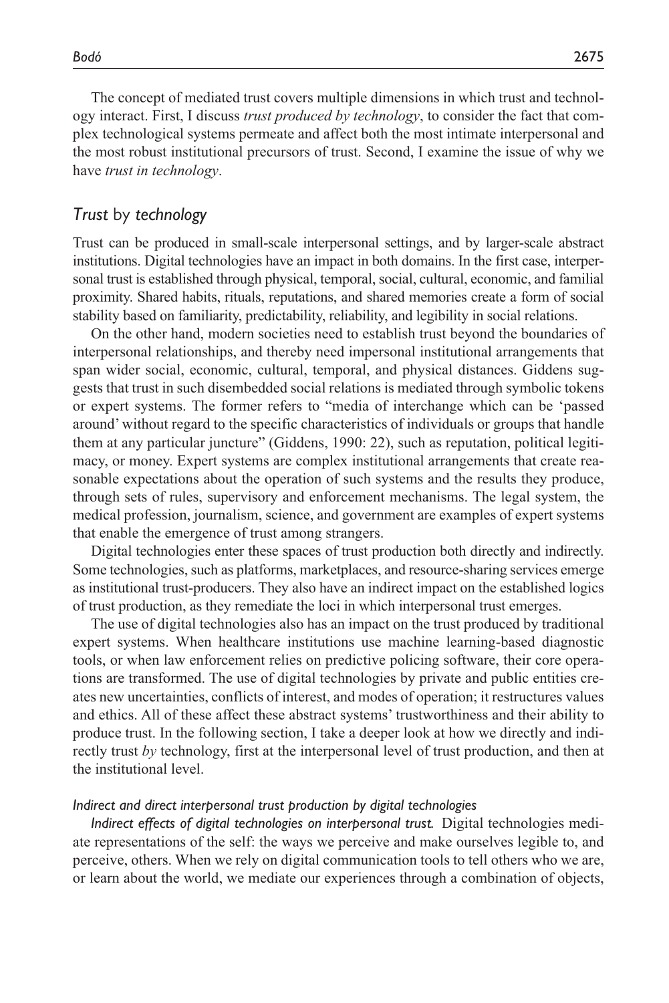The concept of mediated trust covers multiple dimensions in which trust and technology interact. First, I discuss *trust produced by technology*, to consider the fact that complex technological systems permeate and affect both the most intimate interpersonal and the most robust institutional precursors of trust. Second, I examine the issue of why we have *trust in technology*.

#### *Trust* by *technology*

Trust can be produced in small-scale interpersonal settings, and by larger-scale abstract institutions. Digital technologies have an impact in both domains. In the first case, interpersonal trust is established through physical, temporal, social, cultural, economic, and familial proximity. Shared habits, rituals, reputations, and shared memories create a form of social stability based on familiarity, predictability, reliability, and legibility in social relations.

On the other hand, modern societies need to establish trust beyond the boundaries of interpersonal relationships, and thereby need impersonal institutional arrangements that span wider social, economic, cultural, temporal, and physical distances. Giddens suggests that trust in such disembedded social relations is mediated through symbolic tokens or expert systems. The former refers to "media of interchange which can be 'passed around' without regard to the specific characteristics of individuals or groups that handle them at any particular juncture" (Giddens, 1990: 22), such as reputation, political legitimacy, or money. Expert systems are complex institutional arrangements that create reasonable expectations about the operation of such systems and the results they produce, through sets of rules, supervisory and enforcement mechanisms. The legal system, the medical profession, journalism, science, and government are examples of expert systems that enable the emergence of trust among strangers.

Digital technologies enter these spaces of trust production both directly and indirectly. Some technologies, such as platforms, marketplaces, and resource-sharing services emerge as institutional trust-producers. They also have an indirect impact on the established logics of trust production, as they remediate the loci in which interpersonal trust emerges.

The use of digital technologies also has an impact on the trust produced by traditional expert systems. When healthcare institutions use machine learning-based diagnostic tools, or when law enforcement relies on predictive policing software, their core operations are transformed. The use of digital technologies by private and public entities creates new uncertainties, conflicts of interest, and modes of operation; it restructures values and ethics. All of these affect these abstract systems' trustworthiness and their ability to produce trust. In the following section, I take a deeper look at how we directly and indirectly trust *by* technology, first at the interpersonal level of trust production, and then at the institutional level.

#### *Indirect and direct interpersonal trust production by digital technologies*

*Indirect effects of digital technologies on interpersonal trust.* Digital technologies mediate representations of the self: the ways we perceive and make ourselves legible to, and perceive, others. When we rely on digital communication tools to tell others who we are, or learn about the world, we mediate our experiences through a combination of objects,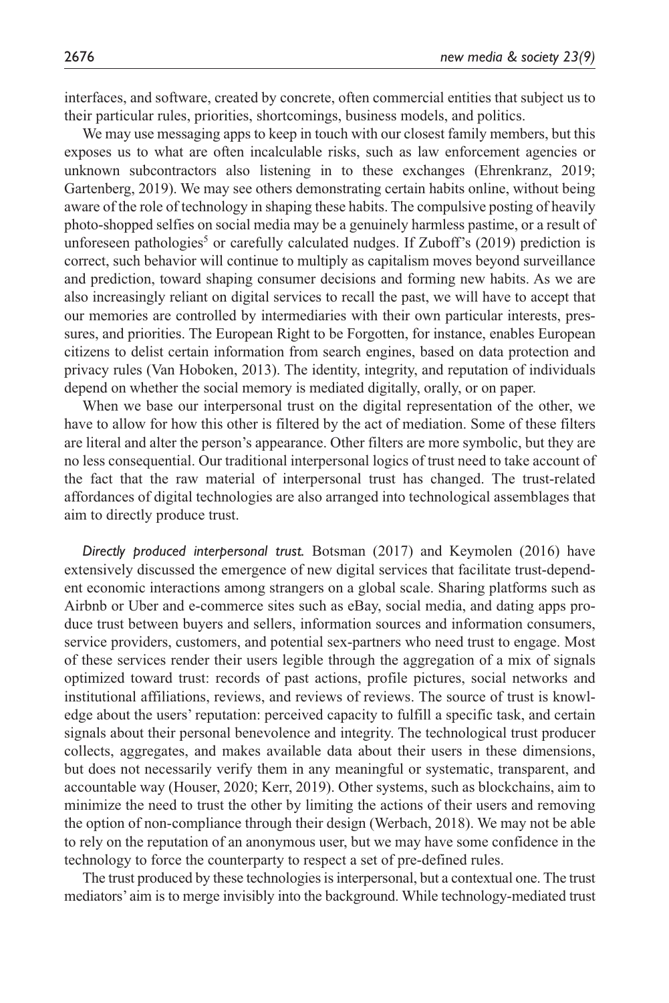interfaces, and software, created by concrete, often commercial entities that subject us to their particular rules, priorities, shortcomings, business models, and politics.

We may use messaging apps to keep in touch with our closest family members, but this exposes us to what are often incalculable risks, such as law enforcement agencies or unknown subcontractors also listening in to these exchanges (Ehrenkranz, 2019; Gartenberg, 2019). We may see others demonstrating certain habits online, without being aware of the role of technology in shaping these habits. The compulsive posting of heavily photo-shopped selfies on social media may be a genuinely harmless pastime, or a result of unforeseen pathologies<sup>5</sup> or carefully calculated nudges. If Zuboff's (2019) prediction is correct, such behavior will continue to multiply as capitalism moves beyond surveillance and prediction, toward shaping consumer decisions and forming new habits. As we are also increasingly reliant on digital services to recall the past, we will have to accept that our memories are controlled by intermediaries with their own particular interests, pressures, and priorities. The European Right to be Forgotten, for instance, enables European citizens to delist certain information from search engines, based on data protection and privacy rules (Van Hoboken, 2013). The identity, integrity, and reputation of individuals depend on whether the social memory is mediated digitally, orally, or on paper.

When we base our interpersonal trust on the digital representation of the other, we have to allow for how this other is filtered by the act of mediation. Some of these filters are literal and alter the person's appearance. Other filters are more symbolic, but they are no less consequential. Our traditional interpersonal logics of trust need to take account of the fact that the raw material of interpersonal trust has changed. The trust-related affordances of digital technologies are also arranged into technological assemblages that aim to directly produce trust.

*Directly produced interpersonal trust.* Botsman (2017) and Keymolen (2016) have extensively discussed the emergence of new digital services that facilitate trust-dependent economic interactions among strangers on a global scale. Sharing platforms such as Airbnb or Uber and e-commerce sites such as eBay, social media, and dating apps produce trust between buyers and sellers, information sources and information consumers, service providers, customers, and potential sex-partners who need trust to engage. Most of these services render their users legible through the aggregation of a mix of signals optimized toward trust: records of past actions, profile pictures, social networks and institutional affiliations, reviews, and reviews of reviews. The source of trust is knowledge about the users' reputation: perceived capacity to fulfill a specific task, and certain signals about their personal benevolence and integrity. The technological trust producer collects, aggregates, and makes available data about their users in these dimensions, but does not necessarily verify them in any meaningful or systematic, transparent, and accountable way (Houser, 2020; Kerr, 2019). Other systems, such as blockchains, aim to minimize the need to trust the other by limiting the actions of their users and removing the option of non-compliance through their design (Werbach, 2018). We may not be able to rely on the reputation of an anonymous user, but we may have some confidence in the technology to force the counterparty to respect a set of pre-defined rules.

The trust produced by these technologies is interpersonal, but a contextual one. The trust mediators' aim is to merge invisibly into the background. While technology-mediated trust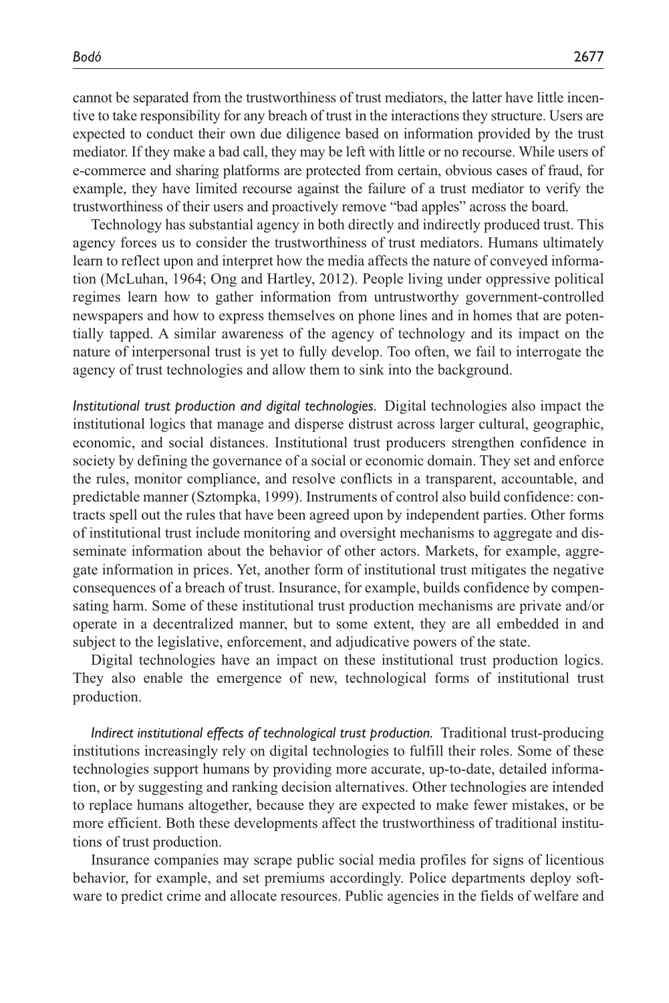cannot be separated from the trustworthiness of trust mediators, the latter have little incentive to take responsibility for any breach of trust in the interactions they structure. Users are expected to conduct their own due diligence based on information provided by the trust mediator. If they make a bad call, they may be left with little or no recourse. While users of e-commerce and sharing platforms are protected from certain, obvious cases of fraud, for example, they have limited recourse against the failure of a trust mediator to verify the trustworthiness of their users and proactively remove "bad apples" across the board.

Technology has substantial agency in both directly and indirectly produced trust. This agency forces us to consider the trustworthiness of trust mediators. Humans ultimately learn to reflect upon and interpret how the media affects the nature of conveyed information (McLuhan, 1964; Ong and Hartley, 2012). People living under oppressive political regimes learn how to gather information from untrustworthy government-controlled newspapers and how to express themselves on phone lines and in homes that are potentially tapped. A similar awareness of the agency of technology and its impact on the nature of interpersonal trust is yet to fully develop. Too often, we fail to interrogate the agency of trust technologies and allow them to sink into the background.

*Institutional trust production and digital technologies.* Digital technologies also impact the institutional logics that manage and disperse distrust across larger cultural, geographic, economic, and social distances. Institutional trust producers strengthen confidence in society by defining the governance of a social or economic domain. They set and enforce the rules, monitor compliance, and resolve conflicts in a transparent, accountable, and predictable manner (Sztompka, 1999). Instruments of control also build confidence: contracts spell out the rules that have been agreed upon by independent parties. Other forms of institutional trust include monitoring and oversight mechanisms to aggregate and disseminate information about the behavior of other actors. Markets, for example, aggregate information in prices. Yet, another form of institutional trust mitigates the negative consequences of a breach of trust. Insurance, for example, builds confidence by compensating harm. Some of these institutional trust production mechanisms are private and/or operate in a decentralized manner, but to some extent, they are all embedded in and subject to the legislative, enforcement, and adjudicative powers of the state.

Digital technologies have an impact on these institutional trust production logics. They also enable the emergence of new, technological forms of institutional trust production.

*Indirect institutional effects of technological trust production.* Traditional trust-producing institutions increasingly rely on digital technologies to fulfill their roles. Some of these technologies support humans by providing more accurate, up-to-date, detailed information, or by suggesting and ranking decision alternatives. Other technologies are intended to replace humans altogether, because they are expected to make fewer mistakes, or be more efficient. Both these developments affect the trustworthiness of traditional institutions of trust production.

Insurance companies may scrape public social media profiles for signs of licentious behavior, for example, and set premiums accordingly. Police departments deploy software to predict crime and allocate resources. Public agencies in the fields of welfare and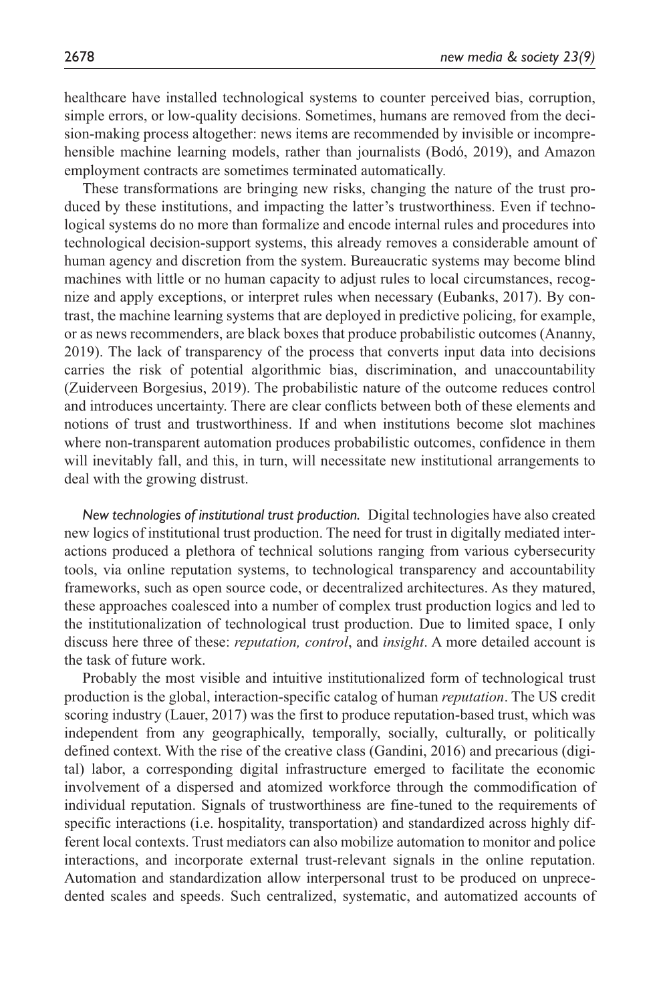healthcare have installed technological systems to counter perceived bias, corruption, simple errors, or low-quality decisions. Sometimes, humans are removed from the decision-making process altogether: news items are recommended by invisible or incomprehensible machine learning models, rather than journalists (Bodó, 2019), and Amazon employment contracts are sometimes terminated automatically.

These transformations are bringing new risks, changing the nature of the trust produced by these institutions, and impacting the latter's trustworthiness. Even if technological systems do no more than formalize and encode internal rules and procedures into technological decision-support systems, this already removes a considerable amount of human agency and discretion from the system. Bureaucratic systems may become blind machines with little or no human capacity to adjust rules to local circumstances, recognize and apply exceptions, or interpret rules when necessary (Eubanks, 2017). By contrast, the machine learning systems that are deployed in predictive policing, for example, or as news recommenders, are black boxes that produce probabilistic outcomes (Ananny, 2019). The lack of transparency of the process that converts input data into decisions carries the risk of potential algorithmic bias, discrimination, and unaccountability (Zuiderveen Borgesius, 2019). The probabilistic nature of the outcome reduces control and introduces uncertainty. There are clear conflicts between both of these elements and notions of trust and trustworthiness. If and when institutions become slot machines where non-transparent automation produces probabilistic outcomes, confidence in them will inevitably fall, and this, in turn, will necessitate new institutional arrangements to deal with the growing distrust.

*New technologies of institutional trust production.* Digital technologies have also created new logics of institutional trust production. The need for trust in digitally mediated interactions produced a plethora of technical solutions ranging from various cybersecurity tools, via online reputation systems, to technological transparency and accountability frameworks, such as open source code, or decentralized architectures. As they matured, these approaches coalesced into a number of complex trust production logics and led to the institutionalization of technological trust production. Due to limited space, I only discuss here three of these: *reputation, control*, and *insight*. A more detailed account is the task of future work.

Probably the most visible and intuitive institutionalized form of technological trust production is the global, interaction-specific catalog of human *reputation*. The US credit scoring industry (Lauer, 2017) was the first to produce reputation-based trust, which was independent from any geographically, temporally, socially, culturally, or politically defined context. With the rise of the creative class (Gandini, 2016) and precarious (digital) labor, a corresponding digital infrastructure emerged to facilitate the economic involvement of a dispersed and atomized workforce through the commodification of individual reputation. Signals of trustworthiness are fine-tuned to the requirements of specific interactions (i.e. hospitality, transportation) and standardized across highly different local contexts. Trust mediators can also mobilize automation to monitor and police interactions, and incorporate external trust-relevant signals in the online reputation. Automation and standardization allow interpersonal trust to be produced on unprecedented scales and speeds. Such centralized, systematic, and automatized accounts of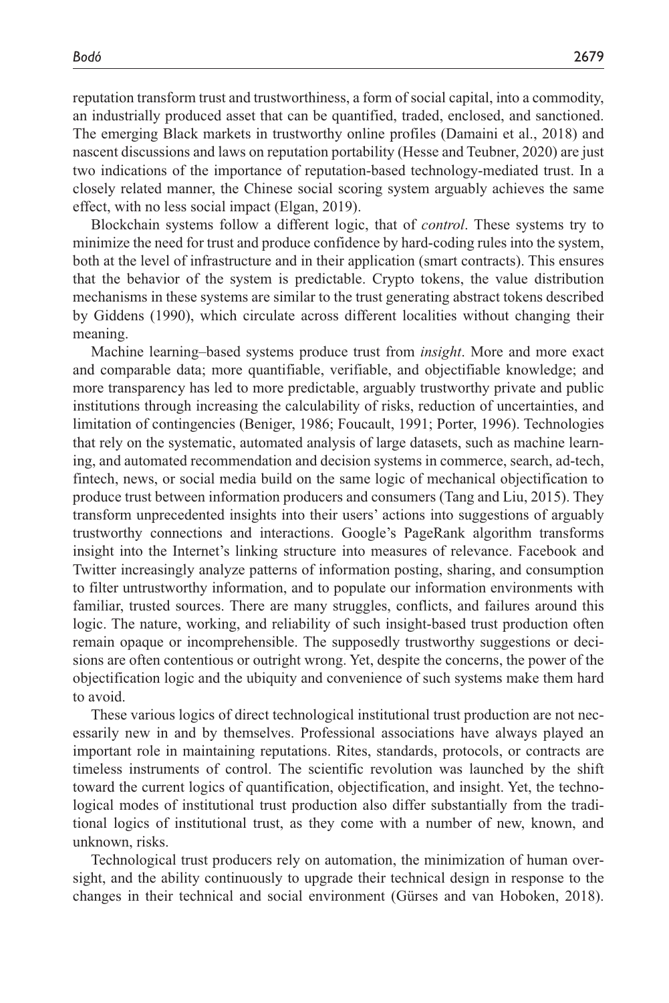reputation transform trust and trustworthiness, a form of social capital, into a commodity, an industrially produced asset that can be quantified, traded, enclosed, and sanctioned. The emerging Black markets in trustworthy online profiles (Damaini et al., 2018) and nascent discussions and laws on reputation portability (Hesse and Teubner, 2020) are just two indications of the importance of reputation-based technology-mediated trust. In a closely related manner, the Chinese social scoring system arguably achieves the same effect, with no less social impact (Elgan, 2019).

Blockchain systems follow a different logic, that of *control*. These systems try to minimize the need for trust and produce confidence by hard-coding rules into the system, both at the level of infrastructure and in their application (smart contracts). This ensures that the behavior of the system is predictable. Crypto tokens, the value distribution mechanisms in these systems are similar to the trust generating abstract tokens described by Giddens (1990), which circulate across different localities without changing their meaning.

Machine learning–based systems produce trust from *insight*. More and more exact and comparable data; more quantifiable, verifiable, and objectifiable knowledge; and more transparency has led to more predictable, arguably trustworthy private and public institutions through increasing the calculability of risks, reduction of uncertainties, and limitation of contingencies (Beniger, 1986; Foucault, 1991; Porter, 1996). Technologies that rely on the systematic, automated analysis of large datasets, such as machine learning, and automated recommendation and decision systems in commerce, search, ad-tech, fintech, news, or social media build on the same logic of mechanical objectification to produce trust between information producers and consumers (Tang and Liu, 2015). They transform unprecedented insights into their users' actions into suggestions of arguably trustworthy connections and interactions. Google's PageRank algorithm transforms insight into the Internet's linking structure into measures of relevance. Facebook and Twitter increasingly analyze patterns of information posting, sharing, and consumption to filter untrustworthy information, and to populate our information environments with familiar, trusted sources. There are many struggles, conflicts, and failures around this logic. The nature, working, and reliability of such insight-based trust production often remain opaque or incomprehensible. The supposedly trustworthy suggestions or decisions are often contentious or outright wrong. Yet, despite the concerns, the power of the objectification logic and the ubiquity and convenience of such systems make them hard to avoid.

These various logics of direct technological institutional trust production are not necessarily new in and by themselves. Professional associations have always played an important role in maintaining reputations. Rites, standards, protocols, or contracts are timeless instruments of control. The scientific revolution was launched by the shift toward the current logics of quantification, objectification, and insight. Yet, the technological modes of institutional trust production also differ substantially from the traditional logics of institutional trust, as they come with a number of new, known, and unknown, risks.

Technological trust producers rely on automation, the minimization of human oversight, and the ability continuously to upgrade their technical design in response to the changes in their technical and social environment (Gürses and van Hoboken, 2018).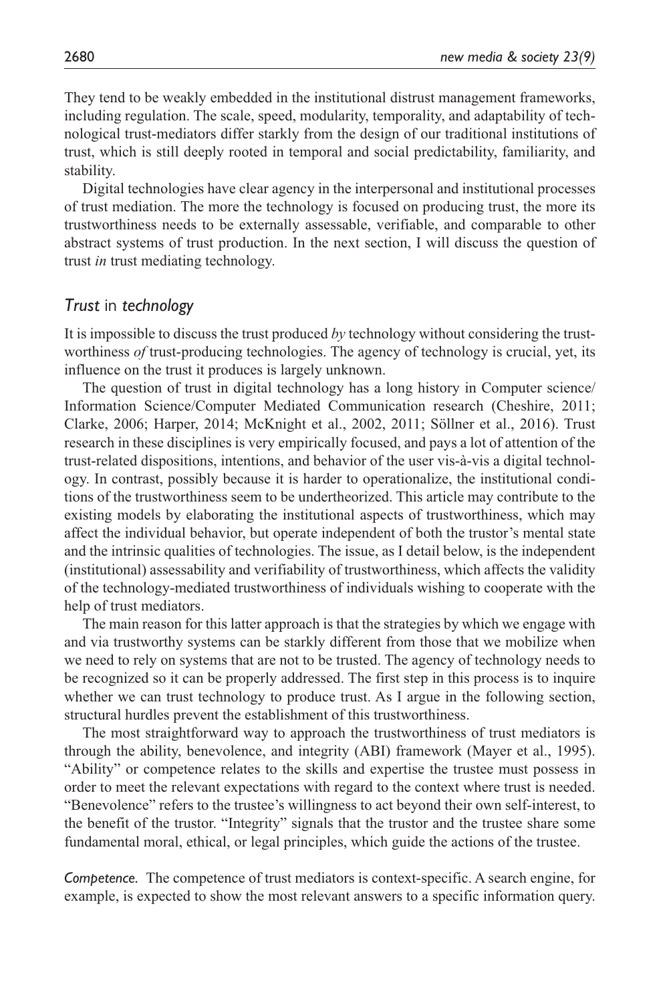They tend to be weakly embedded in the institutional distrust management frameworks, including regulation. The scale, speed, modularity, temporality, and adaptability of technological trust-mediators differ starkly from the design of our traditional institutions of trust, which is still deeply rooted in temporal and social predictability, familiarity, and stability.

Digital technologies have clear agency in the interpersonal and institutional processes of trust mediation. The more the technology is focused on producing trust, the more its trustworthiness needs to be externally assessable, verifiable, and comparable to other abstract systems of trust production. In the next section, I will discuss the question of trust *in* trust mediating technology.

#### *Trust* in *technology*

It is impossible to discuss the trust produced *by* technology without considering the trustworthiness *of* trust-producing technologies. The agency of technology is crucial, yet, its influence on the trust it produces is largely unknown.

The question of trust in digital technology has a long history in Computer science/ Information Science/Computer Mediated Communication research (Cheshire, 2011; Clarke, 2006; Harper, 2014; McKnight et al., 2002, 2011; Söllner et al., 2016). Trust research in these disciplines is very empirically focused, and pays a lot of attention of the trust-related dispositions, intentions, and behavior of the user vis-à-vis a digital technology. In contrast, possibly because it is harder to operationalize, the institutional conditions of the trustworthiness seem to be undertheorized. This article may contribute to the existing models by elaborating the institutional aspects of trustworthiness, which may affect the individual behavior, but operate independent of both the trustor's mental state and the intrinsic qualities of technologies. The issue, as I detail below, is the independent (institutional) assessability and verifiability of trustworthiness, which affects the validity of the technology-mediated trustworthiness of individuals wishing to cooperate with the help of trust mediators.

The main reason for this latter approach is that the strategies by which we engage with and via trustworthy systems can be starkly different from those that we mobilize when we need to rely on systems that are not to be trusted. The agency of technology needs to be recognized so it can be properly addressed. The first step in this process is to inquire whether we can trust technology to produce trust. As I argue in the following section, structural hurdles prevent the establishment of this trustworthiness.

The most straightforward way to approach the trustworthiness of trust mediators is through the ability, benevolence, and integrity (ABI) framework (Mayer et al., 1995). "Ability" or competence relates to the skills and expertise the trustee must possess in order to meet the relevant expectations with regard to the context where trust is needed. "Benevolence" refers to the trustee's willingness to act beyond their own self-interest, to the benefit of the trustor. "Integrity" signals that the trustor and the trustee share some fundamental moral, ethical, or legal principles, which guide the actions of the trustee.

*Competence.* The competence of trust mediators is context-specific. A search engine, for example, is expected to show the most relevant answers to a specific information query.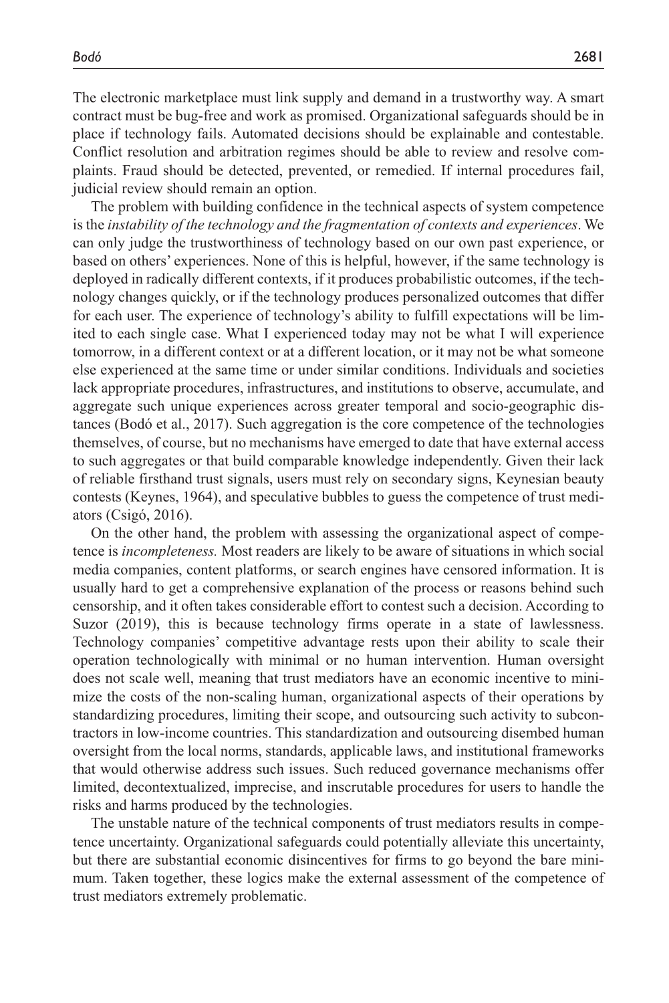The electronic marketplace must link supply and demand in a trustworthy way. A smart contract must be bug-free and work as promised. Organizational safeguards should be in place if technology fails. Automated decisions should be explainable and contestable. Conflict resolution and arbitration regimes should be able to review and resolve complaints. Fraud should be detected, prevented, or remedied. If internal procedures fail, judicial review should remain an option.

The problem with building confidence in the technical aspects of system competence is the *instability of the technology and the fragmentation of contexts and experiences*. We can only judge the trustworthiness of technology based on our own past experience, or based on others' experiences. None of this is helpful, however, if the same technology is deployed in radically different contexts, if it produces probabilistic outcomes, if the technology changes quickly, or if the technology produces personalized outcomes that differ for each user. The experience of technology's ability to fulfill expectations will be limited to each single case. What I experienced today may not be what I will experience tomorrow, in a different context or at a different location, or it may not be what someone else experienced at the same time or under similar conditions. Individuals and societies lack appropriate procedures, infrastructures, and institutions to observe, accumulate, and aggregate such unique experiences across greater temporal and socio-geographic distances (Bodó et al., 2017). Such aggregation is the core competence of the technologies themselves, of course, but no mechanisms have emerged to date that have external access to such aggregates or that build comparable knowledge independently. Given their lack of reliable firsthand trust signals, users must rely on secondary signs, Keynesian beauty contests (Keynes, 1964), and speculative bubbles to guess the competence of trust mediators (Csigó, 2016).

On the other hand, the problem with assessing the organizational aspect of competence is *incompleteness.* Most readers are likely to be aware of situations in which social media companies, content platforms, or search engines have censored information. It is usually hard to get a comprehensive explanation of the process or reasons behind such censorship, and it often takes considerable effort to contest such a decision. According to Suzor (2019), this is because technology firms operate in a state of lawlessness. Technology companies' competitive advantage rests upon their ability to scale their operation technologically with minimal or no human intervention. Human oversight does not scale well, meaning that trust mediators have an economic incentive to minimize the costs of the non-scaling human, organizational aspects of their operations by standardizing procedures, limiting their scope, and outsourcing such activity to subcontractors in low-income countries. This standardization and outsourcing disembed human oversight from the local norms, standards, applicable laws, and institutional frameworks that would otherwise address such issues. Such reduced governance mechanisms offer limited, decontextualized, imprecise, and inscrutable procedures for users to handle the risks and harms produced by the technologies.

The unstable nature of the technical components of trust mediators results in competence uncertainty. Organizational safeguards could potentially alleviate this uncertainty, but there are substantial economic disincentives for firms to go beyond the bare minimum. Taken together, these logics make the external assessment of the competence of trust mediators extremely problematic.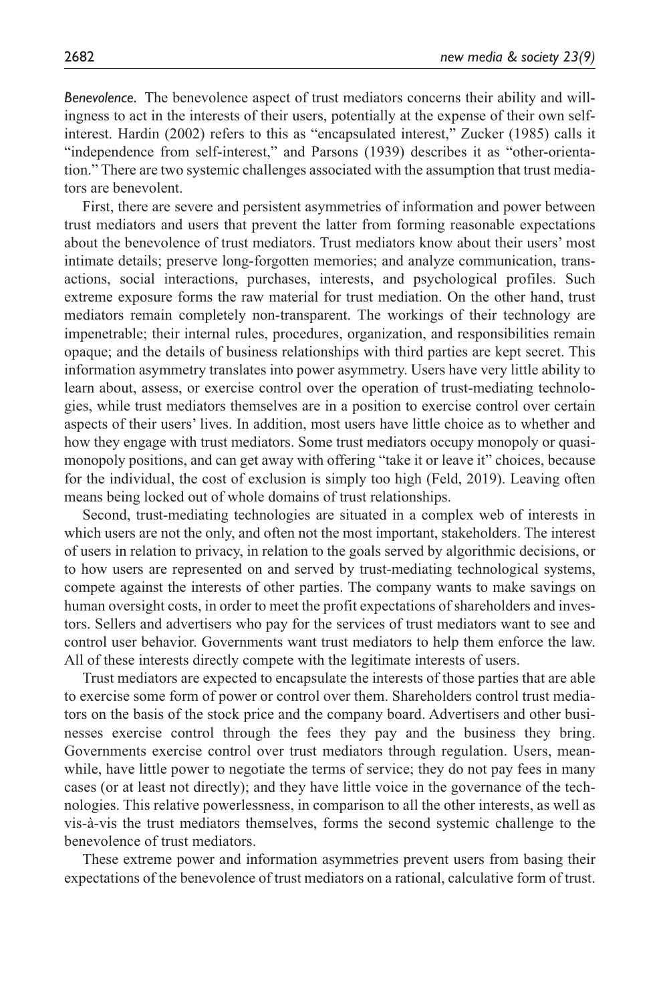*Benevolence.* The benevolence aspect of trust mediators concerns their ability and willingness to act in the interests of their users, potentially at the expense of their own selfinterest. Hardin (2002) refers to this as "encapsulated interest," Zucker (1985) calls it "independence from self-interest," and Parsons (1939) describes it as "other-orientation." There are two systemic challenges associated with the assumption that trust mediators are benevolent.

First, there are severe and persistent asymmetries of information and power between trust mediators and users that prevent the latter from forming reasonable expectations about the benevolence of trust mediators. Trust mediators know about their users' most intimate details; preserve long-forgotten memories; and analyze communication, transactions, social interactions, purchases, interests, and psychological profiles. Such extreme exposure forms the raw material for trust mediation. On the other hand, trust mediators remain completely non-transparent. The workings of their technology are impenetrable; their internal rules, procedures, organization, and responsibilities remain opaque; and the details of business relationships with third parties are kept secret. This information asymmetry translates into power asymmetry. Users have very little ability to learn about, assess, or exercise control over the operation of trust-mediating technologies, while trust mediators themselves are in a position to exercise control over certain aspects of their users' lives. In addition, most users have little choice as to whether and how they engage with trust mediators. Some trust mediators occupy monopoly or quasimonopoly positions, and can get away with offering "take it or leave it" choices, because for the individual, the cost of exclusion is simply too high (Feld, 2019). Leaving often means being locked out of whole domains of trust relationships.

Second, trust-mediating technologies are situated in a complex web of interests in which users are not the only, and often not the most important, stakeholders. The interest of users in relation to privacy, in relation to the goals served by algorithmic decisions, or to how users are represented on and served by trust-mediating technological systems, compete against the interests of other parties. The company wants to make savings on human oversight costs, in order to meet the profit expectations of shareholders and investors. Sellers and advertisers who pay for the services of trust mediators want to see and control user behavior. Governments want trust mediators to help them enforce the law. All of these interests directly compete with the legitimate interests of users.

Trust mediators are expected to encapsulate the interests of those parties that are able to exercise some form of power or control over them. Shareholders control trust mediators on the basis of the stock price and the company board. Advertisers and other businesses exercise control through the fees they pay and the business they bring. Governments exercise control over trust mediators through regulation. Users, meanwhile, have little power to negotiate the terms of service; they do not pay fees in many cases (or at least not directly); and they have little voice in the governance of the technologies. This relative powerlessness, in comparison to all the other interests, as well as vis-à-vis the trust mediators themselves, forms the second systemic challenge to the benevolence of trust mediators.

These extreme power and information asymmetries prevent users from basing their expectations of the benevolence of trust mediators on a rational, calculative form of trust.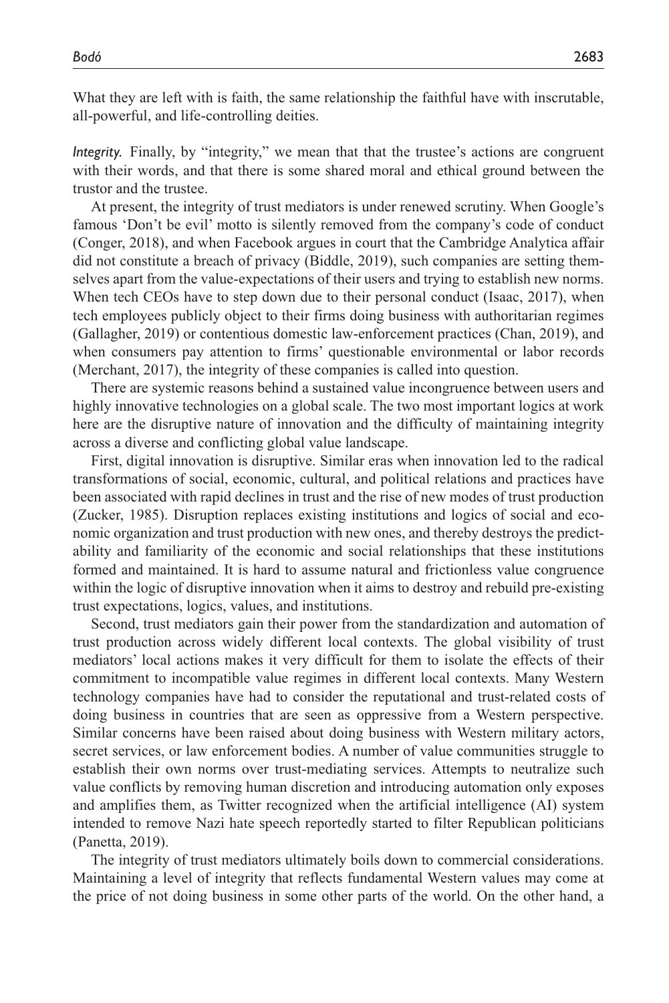What they are left with is faith, the same relationship the faithful have with inscrutable, all-powerful, and life-controlling deities.

*Integrity.* Finally, by "integrity," we mean that that the trustee's actions are congruent with their words, and that there is some shared moral and ethical ground between the trustor and the trustee.

At present, the integrity of trust mediators is under renewed scrutiny. When Google's famous 'Don't be evil' motto is silently removed from the company's code of conduct (Conger, 2018), and when Facebook argues in court that the Cambridge Analytica affair did not constitute a breach of privacy (Biddle, 2019), such companies are setting themselves apart from the value-expectations of their users and trying to establish new norms. When tech CEOs have to step down due to their personal conduct (Isaac, 2017), when tech employees publicly object to their firms doing business with authoritarian regimes (Gallagher, 2019) or contentious domestic law-enforcement practices (Chan, 2019), and when consumers pay attention to firms' questionable environmental or labor records (Merchant, 2017), the integrity of these companies is called into question.

There are systemic reasons behind a sustained value incongruence between users and highly innovative technologies on a global scale. The two most important logics at work here are the disruptive nature of innovation and the difficulty of maintaining integrity across a diverse and conflicting global value landscape.

First, digital innovation is disruptive. Similar eras when innovation led to the radical transformations of social, economic, cultural, and political relations and practices have been associated with rapid declines in trust and the rise of new modes of trust production (Zucker, 1985). Disruption replaces existing institutions and logics of social and economic organization and trust production with new ones, and thereby destroys the predictability and familiarity of the economic and social relationships that these institutions formed and maintained. It is hard to assume natural and frictionless value congruence within the logic of disruptive innovation when it aims to destroy and rebuild pre-existing trust expectations, logics, values, and institutions.

Second, trust mediators gain their power from the standardization and automation of trust production across widely different local contexts. The global visibility of trust mediators' local actions makes it very difficult for them to isolate the effects of their commitment to incompatible value regimes in different local contexts. Many Western technology companies have had to consider the reputational and trust-related costs of doing business in countries that are seen as oppressive from a Western perspective. Similar concerns have been raised about doing business with Western military actors, secret services, or law enforcement bodies. A number of value communities struggle to establish their own norms over trust-mediating services. Attempts to neutralize such value conflicts by removing human discretion and introducing automation only exposes and amplifies them, as Twitter recognized when the artificial intelligence (AI) system intended to remove Nazi hate speech reportedly started to filter Republican politicians (Panetta, 2019).

The integrity of trust mediators ultimately boils down to commercial considerations. Maintaining a level of integrity that reflects fundamental Western values may come at the price of not doing business in some other parts of the world. On the other hand, a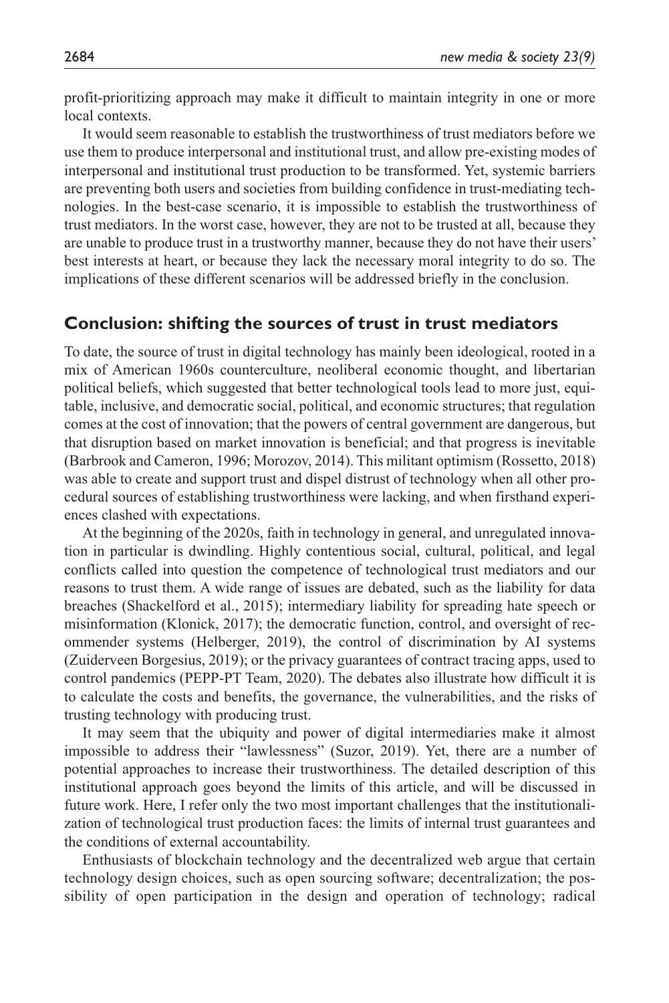profit-prioritizing approach may make it difficult to maintain integrity in one or more local contexts.

It would seem reasonable to establish the trustworthiness of trust mediators before we use them to produce interpersonal and institutional trust, and allow pre-existing modes of interpersonal and institutional trust production to be transformed. Yet, systemic barriers are preventing both users and societies from building confidence in trust-mediating technologies. In the best-case scenario, it is impossible to establish the trustworthiness of trust mediators. In the worst case, however, they are not to be trusted at all, because they are unable to produce trust in a trustworthy manner, because they do not have their users' best interests at heart, or because they lack the necessary moral integrity to do so. The implications of these different scenarios will be addressed briefly in the conclusion.

#### **Conclusion: shifting the sources of trust in trust mediators**

To date, the source of trust in digital technology has mainly been ideological, rooted in a mix of American 1960s counterculture, neoliberal economic thought, and libertarian political beliefs, which suggested that better technological tools lead to more just, equitable, inclusive, and democratic social, political, and economic structures; that regulation comes at the cost of innovation; that the powers of central government are dangerous, but that disruption based on market innovation is beneficial; and that progress is inevitable (Barbrook and Cameron, 1996; Morozov, 2014). This militant optimism (Rossetto, 2018) was able to create and support trust and dispel distrust of technology when all other procedural sources of establishing trustworthiness were lacking, and when firsthand experiences clashed with expectations.

At the beginning of the 2020s, faith in technology in general, and unregulated innovation in particular is dwindling. Highly contentious social, cultural, political, and legal conflicts called into question the competence of technological trust mediators and our reasons to trust them. A wide range of issues are debated, such as the liability for data breaches (Shackelford et al., 2015); intermediary liability for spreading hate speech or misinformation (Klonick, 2017); the democratic function, control, and oversight of recommender systems (Helberger, 2019), the control of discrimination by AI systems (Zuiderveen Borgesius, 2019); or the privacy guarantees of contract tracing apps, used to control pandemics (PEPP-PT Team, 2020). The debates also illustrate how difficult it is to calculate the costs and benefits, the governance, the vulnerabilities, and the risks of trusting technology with producing trust.

It may seem that the ubiquity and power of digital intermediaries make it almost impossible to address their "lawlessness" (Suzor, 2019). Yet, there are a number of potential approaches to increase their trustworthiness. The detailed description of this institutional approach goes beyond the limits of this article, and will be discussed in future work. Here, I refer only the two most important challenges that the institutionalization of technological trust production faces: the limits of internal trust guarantees and the conditions of external accountability.

Enthusiasts of blockchain technology and the decentralized web argue that certain technology design choices, such as open sourcing software; decentralization; the possibility of open participation in the design and operation of technology; radical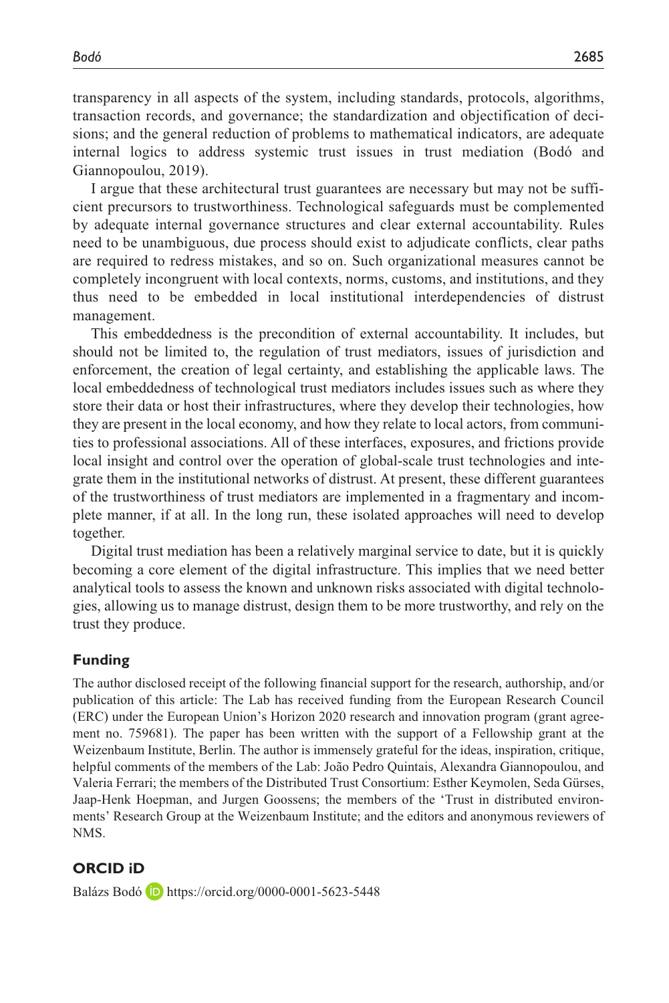transparency in all aspects of the system, including standards, protocols, algorithms, transaction records, and governance; the standardization and objectification of decisions; and the general reduction of problems to mathematical indicators, are adequate internal logics to address systemic trust issues in trust mediation (Bodó and Giannopoulou, 2019).

I argue that these architectural trust guarantees are necessary but may not be sufficient precursors to trustworthiness. Technological safeguards must be complemented by adequate internal governance structures and clear external accountability. Rules need to be unambiguous, due process should exist to adjudicate conflicts, clear paths are required to redress mistakes, and so on. Such organizational measures cannot be completely incongruent with local contexts, norms, customs, and institutions, and they thus need to be embedded in local institutional interdependencies of distrust management.

This embeddedness is the precondition of external accountability. It includes, but should not be limited to, the regulation of trust mediators, issues of jurisdiction and enforcement, the creation of legal certainty, and establishing the applicable laws. The local embeddedness of technological trust mediators includes issues such as where they store their data or host their infrastructures, where they develop their technologies, how they are present in the local economy, and how they relate to local actors, from communities to professional associations. All of these interfaces, exposures, and frictions provide local insight and control over the operation of global-scale trust technologies and integrate them in the institutional networks of distrust. At present, these different guarantees of the trustworthiness of trust mediators are implemented in a fragmentary and incomplete manner, if at all. In the long run, these isolated approaches will need to develop together.

Digital trust mediation has been a relatively marginal service to date, but it is quickly becoming a core element of the digital infrastructure. This implies that we need better analytical tools to assess the known and unknown risks associated with digital technologies, allowing us to manage distrust, design them to be more trustworthy, and rely on the trust they produce.

#### **Funding**

The author disclosed receipt of the following financial support for the research, authorship, and/or publication of this article: The Lab has received funding from the European Research Council (ERC) under the European Union's Horizon 2020 research and innovation program (grant agreement no. 759681). The paper has been written with the support of a Fellowship grant at the Weizenbaum Institute, Berlin. The author is immensely grateful for the ideas, inspiration, critique, helpful comments of the members of the Lab: João Pedro Quintais, Alexandra Giannopoulou, and Valeria Ferrari; the members of the Distributed Trust Consortium: Esther Keymolen, Seda Gürses, Jaap-Henk Hoepman, and Jurgen Goossens; the members of the 'Trust in distributed environments' Research Group at the Weizenbaum Institute; and the editors and anonymous reviewers of NMS.

#### **ORCID iD**

Balázs Bodó **iD** <https://orcid.org/0000-0001-5623-5448>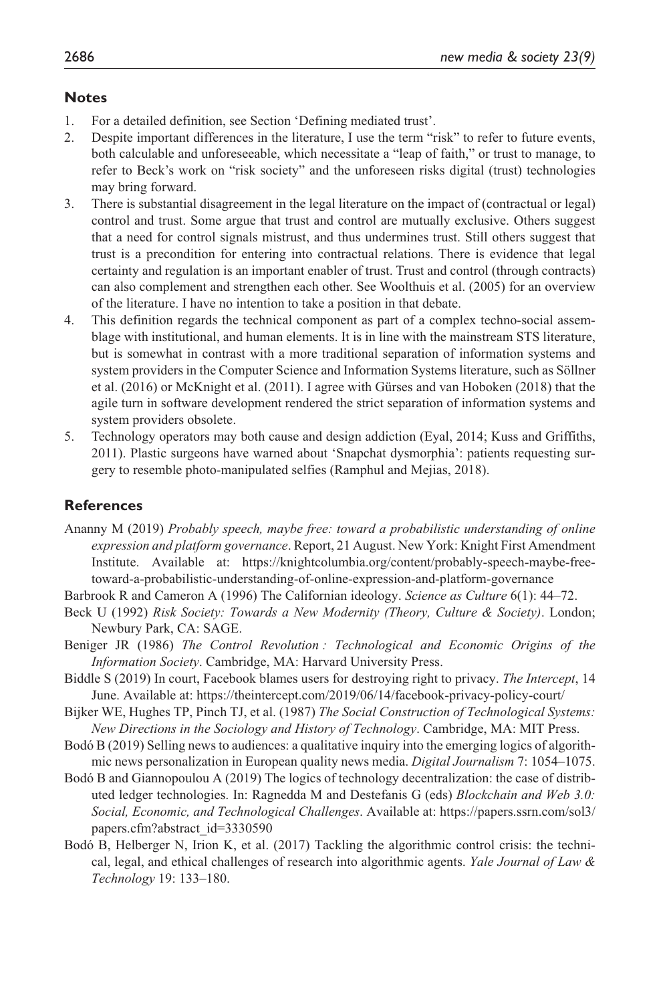#### **Notes**

- 1. For a detailed definition, see Section 'Defining mediated trust'.
- 2. Despite important differences in the literature, I use the term "risk" to refer to future events, both calculable and unforeseeable, which necessitate a "leap of faith," or trust to manage, to refer to Beck's work on "risk society" and the unforeseen risks digital (trust) technologies may bring forward.
- 3. There is substantial disagreement in the legal literature on the impact of (contractual or legal) control and trust. Some argue that trust and control are mutually exclusive. Others suggest that a need for control signals mistrust, and thus undermines trust. Still others suggest that trust is a precondition for entering into contractual relations. There is evidence that legal certainty and regulation is an important enabler of trust. Trust and control (through contracts) can also complement and strengthen each other. See Woolthuis et al. (2005) for an overview of the literature. I have no intention to take a position in that debate.
- 4. This definition regards the technical component as part of a complex techno-social assemblage with institutional, and human elements. It is in line with the mainstream STS literature, but is somewhat in contrast with a more traditional separation of information systems and system providers in the Computer Science and Information Systems literature, such as Söllner et al. (2016) or McKnight et al. (2011). I agree with Gürses and van Hoboken (2018) that the agile turn in software development rendered the strict separation of information systems and system providers obsolete.
- 5. Technology operators may both cause and design addiction (Eyal, 2014; Kuss and Griffiths, 2011). Plastic surgeons have warned about 'Snapchat dysmorphia': patients requesting surgery to resemble photo-manipulated selfies (Ramphul and Mejias, 2018).

#### **References**

- Ananny M (2019) *Probably speech, maybe free: toward a probabilistic understanding of online expression and platform governance*. Report, 21 August. New York: Knight First Amendment Institute. Available at: [https://knightcolumbia.org/content/probably-speech-maybe-free](https://knightcolumbia.org/content/probably-speech-maybe-free-toward-a-probabilistic-understanding-of-online-expression-and-platform-governance)[toward-a-probabilistic-understanding-of-online-expression-and-platform-governance](https://knightcolumbia.org/content/probably-speech-maybe-free-toward-a-probabilistic-understanding-of-online-expression-and-platform-governance)
- Barbrook R and Cameron A (1996) The Californian ideology. *Science as Culture* 6(1): 44–72.
- Beck U (1992) *Risk Society: Towards a New Modernity (Theory, Culture & Society)*. London; Newbury Park, CA: SAGE.
- Beniger JR (1986) *The Control Revolution : Technological and Economic Origins of the Information Society*. Cambridge, MA: Harvard University Press.
- Biddle S (2019) In court, Facebook blames users for destroying right to privacy. *The Intercept*, 14 June. Available at:<https://theintercept.com/2019/06/14/facebook-privacy-policy-court/>
- Bijker WE, Hughes TP, Pinch TJ, et al. (1987) *The Social Construction of Technological Systems: New Directions in the Sociology and History of Technology*. Cambridge, MA: MIT Press.
- Bodó B (2019) Selling news to audiences: a qualitative inquiry into the emerging logics of algorithmic news personalization in European quality news media. *Digital Journalism* 7: 1054–1075.
- Bodó B and Giannopoulou A (2019) The logics of technology decentralization: the case of distributed ledger technologies. In: Ragnedda M and Destefanis G (eds) *Blockchain and Web 3.0: Social, Economic, and Technological Challenges*. Available at: [https://papers.ssrn.com/sol3/](https://papers.ssrn.com/sol3/papers.cfm?abstract_id=3330590) [papers.cfm?abstract\\_id=3330590](https://papers.ssrn.com/sol3/papers.cfm?abstract_id=3330590)
- Bodó B, Helberger N, Irion K, et al. (2017) Tackling the algorithmic control crisis: the technical, legal, and ethical challenges of research into algorithmic agents. *Yale Journal of Law & Technology* 19: 133–180.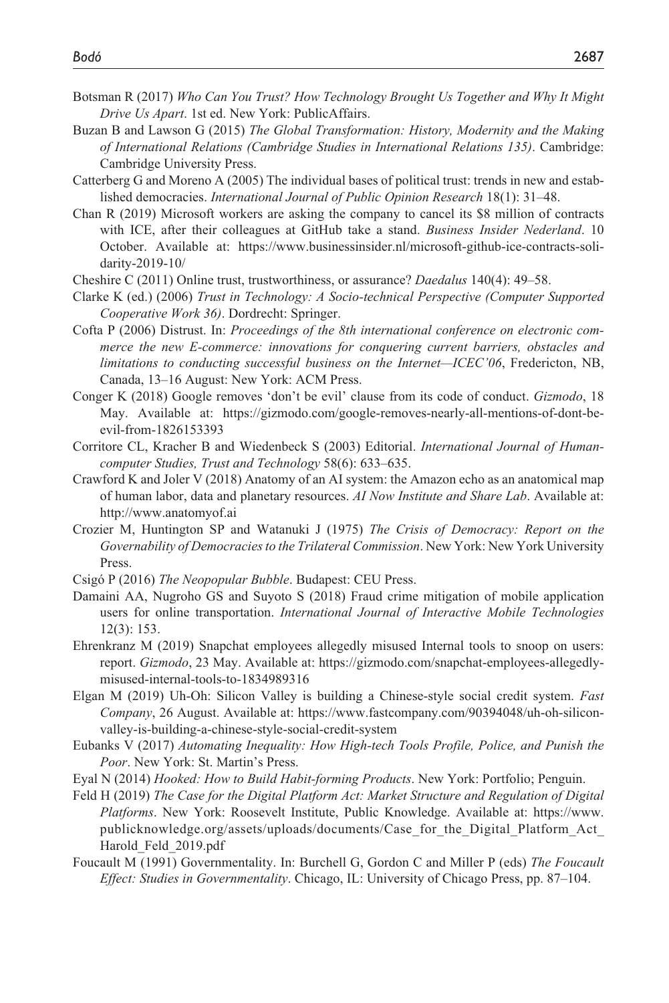- Botsman R (2017) *Who Can You Trust? How Technology Brought Us Together and Why It Might Drive Us Apart*. 1st ed. New York: PublicAffairs.
- Buzan B and Lawson G (2015) *The Global Transformation: History, Modernity and the Making of International Relations (Cambridge Studies in International Relations 135)*. Cambridge: Cambridge University Press.
- Catterberg G and Moreno A (2005) The individual bases of political trust: trends in new and established democracies. *International Journal of Public Opinion Research* 18(1): 31–48.
- Chan R (2019) Microsoft workers are asking the company to cancel its \$8 million of contracts with ICE, after their colleagues at GitHub take a stand. *Business Insider Nederland*. 10 October. Available at: [https://www.businessinsider.nl/microsoft-github-ice-contracts-soli](https://www.businessinsider.nl/microsoft-github-ice-contracts-solidarity-2019-10/)[darity-2019-10/](https://www.businessinsider.nl/microsoft-github-ice-contracts-solidarity-2019-10/)
- Cheshire C (2011) Online trust, trustworthiness, or assurance? *Daedalus* 140(4): 49–58.
- Clarke K (ed.) (2006) *Trust in Technology: A Socio-technical Perspective (Computer Supported Cooperative Work 36)*. Dordrecht: Springer.
- Cofta P (2006) Distrust. In: *Proceedings of the 8th international conference on electronic commerce the new E-commerce: innovations for conquering current barriers, obstacles and limitations to conducting successful business on the Internet—ICEC'06*, Fredericton, NB, Canada, 13–16 August: New York: ACM Press.
- Conger K (2018) Google removes 'don't be evil' clause from its code of conduct. *Gizmodo*, 18 May. Available at: [https://gizmodo.com/google-removes-nearly-all-mentions-of-dont-be](https://gizmodo.com/google-removes-nearly-all-mentions-of-dont-be-evil-from-1826153393)[evil-from-1826153393](https://gizmodo.com/google-removes-nearly-all-mentions-of-dont-be-evil-from-1826153393)
- Corritore CL, Kracher B and Wiedenbeck S (2003) Editorial. *International Journal of Humancomputer Studies, Trust and Technology* 58(6): 633–635.
- Crawford K and Joler V (2018) Anatomy of an AI system: the Amazon echo as an anatomical map of human labor, data and planetary resources. *AI Now Institute and Share Lab*. Available at: <http://www.anatomyof.ai>
- Crozier M, Huntington SP and Watanuki J (1975) *The Crisis of Democracy: Report on the Governability of Democracies to the Trilateral Commission*. New York: New York University Press.
- Csigó P (2016) *The Neopopular Bubble*. Budapest: CEU Press.
- Damaini AA, Nugroho GS and Suyoto S (2018) Fraud crime mitigation of mobile application users for online transportation. *International Journal of Interactive Mobile Technologies* 12(3): 153.
- Ehrenkranz M (2019) Snapchat employees allegedly misused Internal tools to snoop on users: report. *Gizmodo*, 23 May. Available at: [https://gizmodo.com/snapchat-employees-allegedly](https://gizmodo.com/snapchat-employees-allegedly-misused-internal-tools-to-1834989316)[misused-internal-tools-to-1834989316](https://gizmodo.com/snapchat-employees-allegedly-misused-internal-tools-to-1834989316)
- Elgan M (2019) Uh-Oh: Silicon Valley is building a Chinese-style social credit system. *Fast Company*, 26 August. Available at: [https://www.fastcompany.com/90394048/uh-oh-silicon](https://www.fastcompany.com/90394048/uh-oh-silicon-valley-is-building-a-chinese-style-social-credit-system)[valley-is-building-a-chinese-style-social-credit-system](https://www.fastcompany.com/90394048/uh-oh-silicon-valley-is-building-a-chinese-style-social-credit-system)
- Eubanks V (2017) *Automating Inequality: How High-tech Tools Profile, Police, and Punish the Poor*. New York: St. Martin's Press.
- Eyal N (2014) *Hooked: How to Build Habit-forming Products*. New York: Portfolio; Penguin.
- Feld H (2019) *The Case for the Digital Platform Act: Market Structure and Regulation of Digital Platforms*. New York: Roosevelt Institute, Public Knowledge. Available at: [https://www.](https://www.publicknowledge.org/assets/uploads/documents/Case_for_the_Digital_Platform_Act_Harold_Feld_2019.pdf) [publicknowledge.org/assets/uploads/documents/Case\\_for\\_the\\_Digital\\_Platform\\_Act\\_](https://www.publicknowledge.org/assets/uploads/documents/Case_for_the_Digital_Platform_Act_Harold_Feld_2019.pdf) [Harold\\_Feld\\_2019.pdf](https://www.publicknowledge.org/assets/uploads/documents/Case_for_the_Digital_Platform_Act_Harold_Feld_2019.pdf)
- Foucault M (1991) Governmentality. In: Burchell G, Gordon C and Miller P (eds) *The Foucault Effect: Studies in Governmentality*. Chicago, IL: University of Chicago Press, pp. 87–104.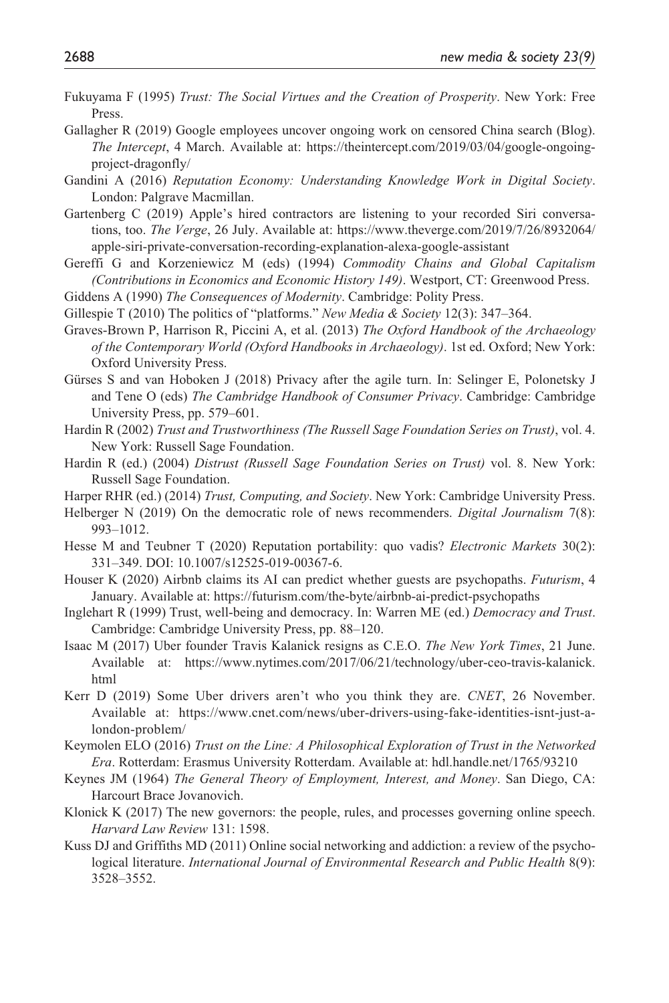- Fukuyama F (1995) *Trust: The Social Virtues and the Creation of Prosperity*. New York: Free Press.
- Gallagher R (2019) Google employees uncover ongoing work on censored China search (Blog). *The Intercept*, 4 March. Available at: [https://theintercept.com/2019/03/04/google-ongoing](https://theintercept.com/2019/03/04/google-ongoing-project-dragonfly/)[project-dragonfly/](https://theintercept.com/2019/03/04/google-ongoing-project-dragonfly/)
- Gandini A (2016) *Reputation Economy: Understanding Knowledge Work in Digital Society*. London: Palgrave Macmillan.
- Gartenberg C (2019) Apple's hired contractors are listening to your recorded Siri conversations, too. *The Verge*, 26 July. Available at: [https://www.theverge.com/2019/7/26/8932064/](https://www.theverge.com/2019/7/26/8932064/apple-siri-private-conversation-recording-explanation-alexa-google-assistant) [apple-siri-private-conversation-recording-explanation-alexa-google-assistant](https://www.theverge.com/2019/7/26/8932064/apple-siri-private-conversation-recording-explanation-alexa-google-assistant)
- Gereffi G and Korzeniewicz M (eds) (1994) *Commodity Chains and Global Capitalism (Contributions in Economics and Economic History 149)*. Westport, CT: Greenwood Press.
- Giddens A (1990) *The Consequences of Modernity*. Cambridge: Polity Press.
- Gillespie T (2010) The politics of "platforms." *New Media & Society* 12(3): 347–364.
- Graves-Brown P, Harrison R, Piccini A, et al. (2013) *The Oxford Handbook of the Archaeology of the Contemporary World (Oxford Handbooks in Archaeology)*. 1st ed. Oxford; New York: Oxford University Press.
- Gürses S and van Hoboken J (2018) Privacy after the agile turn. In: Selinger E, Polonetsky J and Tene O (eds) *The Cambridge Handbook of Consumer Privacy*. Cambridge: Cambridge University Press, pp. 579–601.
- Hardin R (2002) *Trust and Trustworthiness (The Russell Sage Foundation Series on Trust)*, vol. 4. New York: Russell Sage Foundation.
- Hardin R (ed.) (2004) *Distrust (Russell Sage Foundation Series on Trust)* vol. 8. New York: Russell Sage Foundation.
- Harper RHR (ed.) (2014) *Trust, Computing, and Society*. New York: Cambridge University Press.
- Helberger N (2019) On the democratic role of news recommenders. *Digital Journalism* 7(8): 993–1012.
- Hesse M and Teubner T (2020) Reputation portability: quo vadis? *Electronic Markets* 30(2): 331–349. DOI: 10.1007/s12525-019-00367-6.
- Houser K (2020) Airbnb claims its AI can predict whether guests are psychopaths. *Futurism*, 4 January. Available at: <https://futurism.com/the-byte/airbnb-ai-predict-psychopaths>
- Inglehart R (1999) Trust, well-being and democracy. In: Warren ME (ed.) *Democracy and Trust*. Cambridge: Cambridge University Press, pp. 88–120.
- Isaac M (2017) Uber founder Travis Kalanick resigns as C.E.O. *The New York Times*, 21 June. Available at: [https://www.nytimes.com/2017/06/21/technology/uber-ceo-travis-kalanick.](https://www.nytimes.com/2017/06/21/technology/uber-ceo-travis-kalanick.html) [html](https://www.nytimes.com/2017/06/21/technology/uber-ceo-travis-kalanick.html)
- Kerr D (2019) Some Uber drivers aren't who you think they are. *CNET*, 26 November. Available at: [https://www.cnet.com/news/uber-drivers-using-fake-identities-isnt-just-a](https://www.cnet.com/news/uber-drivers-using-fake-identities-isnt-just-a-london-problem/)[london-problem/](https://www.cnet.com/news/uber-drivers-using-fake-identities-isnt-just-a-london-problem/)
- Keymolen ELO (2016) *Trust on the Line: A Philosophical Exploration of Trust in the Networked Era*. Rotterdam: Erasmus University Rotterdam. Available at: hdl.handle.net/1765/93210
- Keynes JM (1964) *The General Theory of Employment, Interest, and Money*. San Diego, CA: Harcourt Brace Jovanovich.
- Klonick K (2017) The new governors: the people, rules, and processes governing online speech. *Harvard Law Review* 131: 1598.
- Kuss DJ and Griffiths MD (2011) Online social networking and addiction: a review of the psychological literature. *International Journal of Environmental Research and Public Health* 8(9): 3528–3552.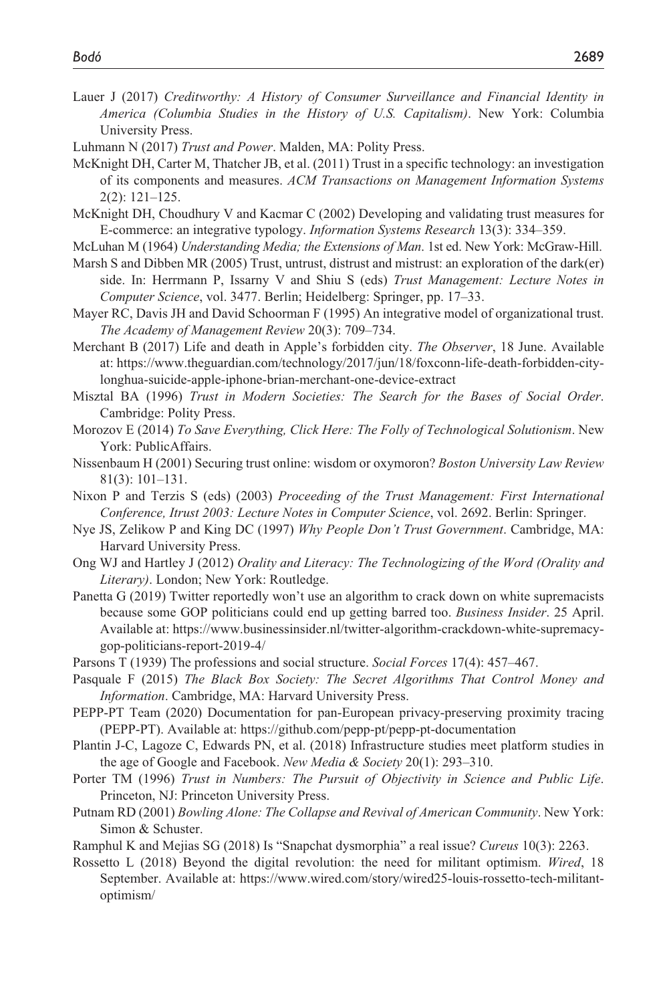Lauer J (2017) *Creditworthy: A History of Consumer Surveillance and Financial Identity in America (Columbia Studies in the History of U.S. Capitalism)*. New York: Columbia University Press.

Luhmann N (2017) *Trust and Power*. Malden, MA: Polity Press.

- McKnight DH, Carter M, Thatcher JB, et al. (2011) Trust in a specific technology: an investigation of its components and measures. *ACM Transactions on Management Information Systems* 2(2): 121–125.
- McKnight DH, Choudhury V and Kacmar C (2002) Developing and validating trust measures for E-commerce: an integrative typology. *Information Systems Research* 13(3): 334–359.

McLuhan M (1964) *Understanding Media; the Extensions of Man*. 1st ed. New York: McGraw-Hill.

- Marsh S and Dibben MR (2005) Trust, untrust, distrust and mistrust: an exploration of the dark(er) side. In: Herrmann P, Issarny V and Shiu S (eds) *Trust Management: Lecture Notes in Computer Science*, vol. 3477. Berlin; Heidelberg: Springer, pp. 17–33.
- Mayer RC, Davis JH and David Schoorman F (1995) An integrative model of organizational trust. *The Academy of Management Review* 20(3): 709–734.
- Merchant B (2017) Life and death in Apple's forbidden city. *The Observer*, 18 June. Available at: [https://www.theguardian.com/technology/2017/jun/18/foxconn-life-death-forbidden-city](https://www.theguardian.com/technology/2017/jun/18/foxconn-life-death-forbidden-city-longhua-suicide-apple-iphone-brian-merchant-one-device-extract)[longhua-suicide-apple-iphone-brian-merchant-one-device-extract](https://www.theguardian.com/technology/2017/jun/18/foxconn-life-death-forbidden-city-longhua-suicide-apple-iphone-brian-merchant-one-device-extract)
- Misztal BA (1996) *Trust in Modern Societies: The Search for the Bases of Social Order*. Cambridge: Polity Press.
- Morozov E (2014) *To Save Everything, Click Here: The Folly of Technological Solutionism*. New York: PublicAffairs.
- Nissenbaum H (2001) Securing trust online: wisdom or oxymoron? *Boston University Law Review* 81(3): 101–131.
- Nixon P and Terzis S (eds) (2003) *Proceeding of the Trust Management: First International Conference, Itrust 2003: Lecture Notes in Computer Science*, vol. 2692. Berlin: Springer.
- Nye JS, Zelikow P and King DC (1997) *Why People Don't Trust Government*. Cambridge, MA: Harvard University Press.
- Ong WJ and Hartley J (2012) *Orality and Literacy: The Technologizing of the Word (Orality and Literary)*. London; New York: Routledge.
- Panetta G (2019) Twitter reportedly won't use an algorithm to crack down on white supremacists because some GOP politicians could end up getting barred too. *Business Insider*. 25 April. Available at: [https://www.businessinsider.nl/twitter-algorithm-crackdown-white-supremacy](https://www.businessinsider.nl/twitter-algorithm-crackdown-white-supremacy-gop-politicians-report-2019-4/)[gop-politicians-report-2019-4/](https://www.businessinsider.nl/twitter-algorithm-crackdown-white-supremacy-gop-politicians-report-2019-4/)
- Parsons T (1939) The professions and social structure. *Social Forces* 17(4): 457–467.
- Pasquale F (2015) *The Black Box Society: The Secret Algorithms That Control Money and Information*. Cambridge, MA: Harvard University Press.
- PEPP-PT Team (2020) Documentation for pan-European privacy-preserving proximity tracing (PEPP-PT). Available at:<https://github.com/pepp-pt/pepp-pt-documentation>
- Plantin J-C, Lagoze C, Edwards PN, et al. (2018) Infrastructure studies meet platform studies in the age of Google and Facebook. *New Media & Society* 20(1): 293–310.
- Porter TM (1996) *Trust in Numbers: The Pursuit of Objectivity in Science and Public Life*. Princeton, NJ: Princeton University Press.
- Putnam RD (2001) *Bowling Alone: The Collapse and Revival of American Community*. New York: Simon & Schuster.
- Ramphul K and Mejias SG (2018) Is "Snapchat dysmorphia" a real issue? *Cureus* 10(3): 2263.
- Rossetto L (2018) Beyond the digital revolution: the need for militant optimism. *Wired*, 18 September. Available at: [https://www.wired.com/story/wired25-louis-rossetto-tech-militant](https://www.wired.com/story/wired25-louis-rossetto-tech-militant-optimism/)[optimism/](https://www.wired.com/story/wired25-louis-rossetto-tech-militant-optimism/)